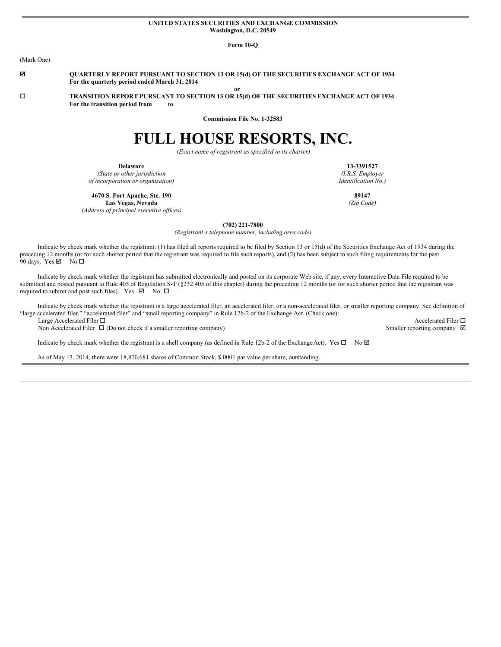#### **UNITED STATES SECURITIES AND EXCHANGE COMMISSION Washington, D.C. 20549**

**Form 10-Q**

(Mark One)

þ **QUARTERLY REPORT PURSUANT TO SECTION 13 OR 15(d) OF THE SECURITIES EXCHANGE ACT OF 1934 For the quarterly period ended March 31, 2014**

o **TRANSITION REPORT PURSUANT TO SECTION 13 OR 15(d) OF THE SECURITIES EXCHANGE ACT OF 1934 For the transition period from to**

**Commission File No. 1-32583**

**or**

# **FULL HOUSE RESORTS, INC.**

*(Exact name of registrant as specified in its charter)*

**Delaware**

*(State or other jurisdiction of incorporation or organization)*

**13-3391527** *(I.R.S. Employer Identification No.)*

**4670 S. Fort Apache, Ste. 190 Las Vegas, Nevada**

*(Address of principal executive of ices)*

**(702) 221-7800**

*(Registrant's telephone number, including area code)*

Indicate by check mark whether the registrant: (1) has filed all reports required to be filed by Section 13 or 15(d) of the Securities Exchange Act of 1934 during the preceding 12 months (or for such shorter period that the registrant was required to file such reports), and (2) has been subject to such filing requirements for the past 90 days. Yes  $\boxtimes$  No  $\square$ 

Indicate by check mark whether the registrant has submitted electronically and posted on its corporate Web site, if any, every Interactive Data File required to be submitted and posted pursuant to Rule 405 of Regulation S-T (§232.405 of this chapter) during the preceding 12 months (or for such shorter period that the registrant was required to submit and post such files). Yes  $\boxtimes$  No  $\square$ 

Indicate by check mark whether the registrant is a large accelerated filer, an accelerated filer, or a non-accelerated filer, or smaller reporting company. See definition of "large accelerated filer," "accelerated filer" and "small reporting company" in Rule 12b-2 of the Exchange Act. (Check one): Large Accelerated Filer  $\Box$  Accelerated Filer  $\Box$ 

Non Accelerated Filer  $\Box$  (Do not check if a smaller reporting company) Smaller reporting company  $\Box$ 

Indicate by check mark whether the registrant is a shell company (as defined in Rule 12b-2 of the ExchangeAct). Yes  $\Box$  No  $\Box$ 

As of May 13, 2014, there were 18,870,681 shares of Common Stock, \$.0001 par value per share, outstanding.

**89147** *(Zip Code)*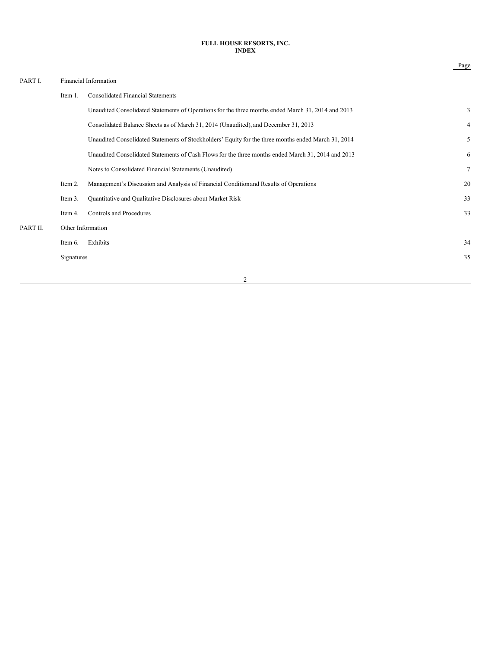## **FULL HOUSE RESORTS, INC. INDEX**

Page

| PART I.  |                   | Financial Information                                                                               |                |
|----------|-------------------|-----------------------------------------------------------------------------------------------------|----------------|
|          | Item 1.           | <b>Consolidated Financial Statements</b>                                                            |                |
|          |                   | Unaudited Consolidated Statements of Operations for the three months ended March 31, 2014 and 2013  | 3              |
|          |                   | Consolidated Balance Sheets as of March 31, 2014 (Unaudited), and December 31, 2013                 | $\overline{4}$ |
|          |                   | Unaudited Consolidated Statements of Stockholders' Equity for the three months ended March 31, 2014 | 5              |
|          |                   | Unaudited Consolidated Statements of Cash Flows for the three months ended March 31, 2014 and 2013  | 6              |
|          |                   | Notes to Consolidated Financial Statements (Unaudited)                                              | $\tau$         |
|          | Item 2.           | Management's Discussion and Analysis of Financial Condition and Results of Operations               | 20             |
|          | Item 3.           | Quantitative and Qualitative Disclosures about Market Risk                                          | 33             |
|          | Item 4.           | Controls and Procedures                                                                             | 33             |
| PART II. | Other Information |                                                                                                     |                |
|          | Item 6.           | Exhibits                                                                                            | 34             |
|          | Signatures        |                                                                                                     | 35             |
|          |                   |                                                                                                     |                |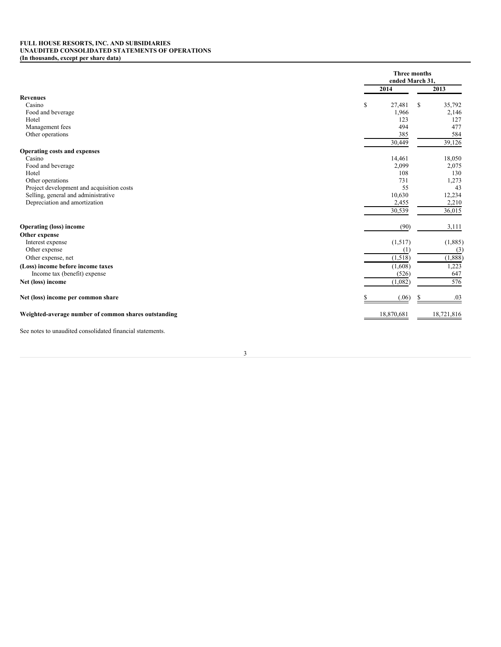## **FULL HOUSE RESORTS, INC. AND SUBSIDIARIES UNAUDITED CONSOLIDATED STATEMENTS OF OPERATIONS (In thousands, except per share data)**

|                                                      | <b>Three months</b><br>ended March 31, |    |            |  |
|------------------------------------------------------|----------------------------------------|----|------------|--|
|                                                      | 2014                                   |    | 2013       |  |
| <b>Revenues</b>                                      |                                        |    |            |  |
| Casino                                               | \$<br>27,481                           | \$ | 35,792     |  |
| Food and beverage                                    | 1,966                                  |    | 2,146      |  |
| Hotel                                                | 123                                    |    | 127        |  |
| Management fees                                      | 494                                    |    | 477        |  |
| Other operations                                     | 385                                    |    | 584        |  |
|                                                      | 30,449                                 |    | 39,126     |  |
| <b>Operating costs and expenses</b>                  |                                        |    |            |  |
| Casino                                               | 14,461                                 |    | 18,050     |  |
| Food and beverage                                    | 2,099                                  |    | 2,075      |  |
| Hotel                                                | 108                                    |    | 130        |  |
| Other operations                                     | 731                                    |    | 1,273      |  |
| Project development and acquisition costs            | 55                                     |    | 43         |  |
| Selling, general and administrative                  | 10,630                                 |    | 12,234     |  |
| Depreciation and amortization                        | 2,455                                  |    | 2,210      |  |
|                                                      | 30,539                                 |    | 36,015     |  |
| <b>Operating (loss) income</b>                       | (90)                                   |    | 3,111      |  |
| Other expense                                        |                                        |    |            |  |
| Interest expense                                     | (1,517)                                |    | (1,885)    |  |
| Other expense                                        | (1)                                    |    | (3)        |  |
| Other expense, net                                   | (1,518)                                |    | (1,888)    |  |
| (Loss) income before income taxes                    | (1,608)                                |    | 1,223      |  |
| Income tax (benefit) expense                         | (526)                                  |    | 647        |  |
| Net (loss) income                                    | (1,082)                                |    | 576        |  |
| Net (loss) income per common share                   | (.06)                                  |    | .03        |  |
| Weighted-average number of common shares outstanding | 18,870,681                             |    | 18,721,816 |  |

See notes to unaudited consolidated financial statements.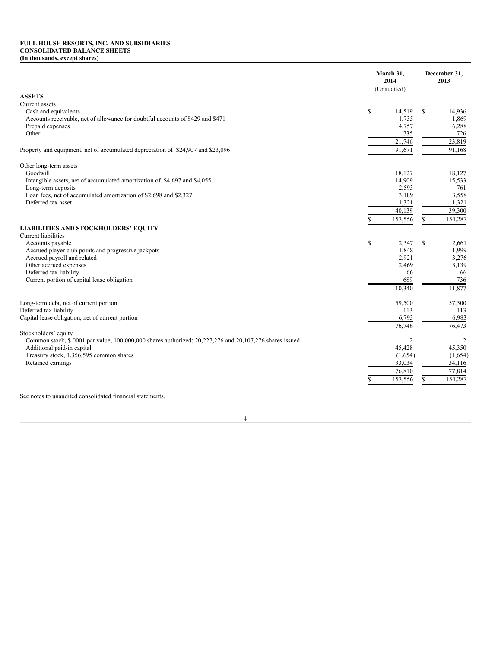## **FULL HOUSE RESORTS, INC. AND SUBSIDIARIES CONSOLIDATED BALANCE SHEETS (In thousands, except shares)**

|                                                                                                         |              | March 31,<br>2014 |    | December 31,<br>2013 |
|---------------------------------------------------------------------------------------------------------|--------------|-------------------|----|----------------------|
|                                                                                                         |              | (Unaudited)       |    |                      |
| <b>ASSETS</b>                                                                                           |              |                   |    |                      |
| Current assets                                                                                          |              |                   |    |                      |
| Cash and equivalents                                                                                    | $\mathbb{S}$ | 14,519            | \$ | 14,936               |
| Accounts receivable, net of allowance for doubtful accounts of \$429 and \$471                          |              | 1,735             |    | 1,869                |
| Prepaid expenses                                                                                        |              | 4,757             |    | 6,288                |
| Other                                                                                                   |              | 735               |    | 726                  |
|                                                                                                         |              | 21,746            |    | 23,819               |
| Property and equipment, net of accumulated depreciation of \$24,907 and \$23,096                        |              | 91,671            |    | 91,168               |
| Other long-term assets                                                                                  |              |                   |    |                      |
| Goodwill                                                                                                |              | 18,127            |    | 18,127               |
| Intangible assets, net of accumulated amortization of \$4,697 and \$4,055                               |              | 14,909            |    | 15,533               |
| Long-term deposits                                                                                      |              | 2,593             |    | 761                  |
| Loan fees, net of accumulated amortization of \$2,698 and \$2,327                                       |              | 3,189             |    | 3,558                |
| Deferred tax asset                                                                                      |              | 1,321             |    | 1,321                |
|                                                                                                         |              | 40,139            |    | 39,300               |
|                                                                                                         |              | 153,556           | S  | 154,287              |
| <b>LIABILITIES AND STOCKHOLDERS' EQUITY</b>                                                             |              |                   |    |                      |
| <b>Current liabilities</b>                                                                              |              |                   |    |                      |
| Accounts payable                                                                                        | \$           | 2,347             | \$ | 2,661                |
| Accrued player club points and progressive jackpots                                                     |              | 1.848             |    | 1,999                |
| Accrued payroll and related                                                                             |              | 2,921             |    | 3,276                |
| Other accrued expenses                                                                                  |              | 2,469             |    | 3,139                |
| Deferred tax liability                                                                                  |              | 66                |    | 66                   |
| Current portion of capital lease obligation                                                             |              | 689               |    | 736                  |
|                                                                                                         |              | 10,340            |    | 11,877               |
| Long-term debt, net of current portion                                                                  |              | 59,500            |    | 57,500               |
| Deferred tax liability                                                                                  |              | 113               |    | 113                  |
| Capital lease obligation, net of current portion                                                        |              | 6,793             |    | 6,983                |
| Stockholders' equity                                                                                    |              | 76,746            |    | 76,473               |
| Common stock, \$.0001 par value, 100,000,000 shares authorized; 20,227,276 and 20,107,276 shares issued |              | $\overline{2}$    |    | 2                    |
| Additional paid-in capital                                                                              |              | 45,428            |    | 45,350               |
| Treasury stock, 1,356,595 common shares                                                                 |              | (1,654)           |    | (1,654)              |
| Retained earnings                                                                                       |              | 33,034            |    | 34,116               |
|                                                                                                         |              | 76,810            |    | 77,814               |
|                                                                                                         |              | 153,556           |    | 154,287              |
|                                                                                                         |              |                   |    |                      |

See notes to unaudited consolidated financial statements.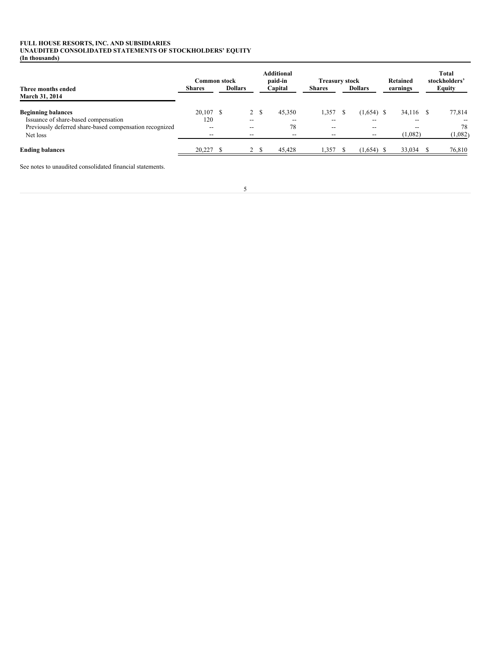## **FULL HOUSE RESORTS, INC. AND SUBSIDIARIES UNAUDITED CONSOLIDATED STATEMENTS OF STOCKHOLDERS' EQUITY (In thousands)**

|                                                         | Common stock  |                          |      | <b>Additional</b><br>paid-in | <b>Treasury stock</b> |                | Retained  | <b>Total</b><br>stockholders' |
|---------------------------------------------------------|---------------|--------------------------|------|------------------------------|-----------------------|----------------|-----------|-------------------------------|
| Three months ended<br>March 31, 2014                    | <b>Shares</b> | <b>Dollars</b>           |      | Capital                      | <b>Shares</b>         | <b>Dollars</b> | earnings  | <b>Equity</b>                 |
| <b>Beginning balances</b>                               | $20,107$ \$   |                          | 2 \$ | 45,350                       | 1,357                 | $(1,654)$ \$   | 34,116 \$ | 77,814                        |
| Issuance of share-based compensation                    | 120           | $\overline{\phantom{m}}$ |      | $- -$                        | $- -$                 | --             |           |                               |
| Previously deferred share-based compensation recognized | $- -$         | $\overline{\phantom{m}}$ |      | 78                           | $- -$                 | $- -$          | $- -$     | 78                            |
| Net loss                                                | --            | $- -$                    |      | $- -$                        | --                    |                | (1,082)   | (1,082)                       |
| <b>Ending balances</b>                                  | 20,227        | 2                        |      | 45,428                       | 1,357                 | $(1,654)$ \$   | 33,034    | 76,810                        |

See notes to unaudited consolidated financial statements.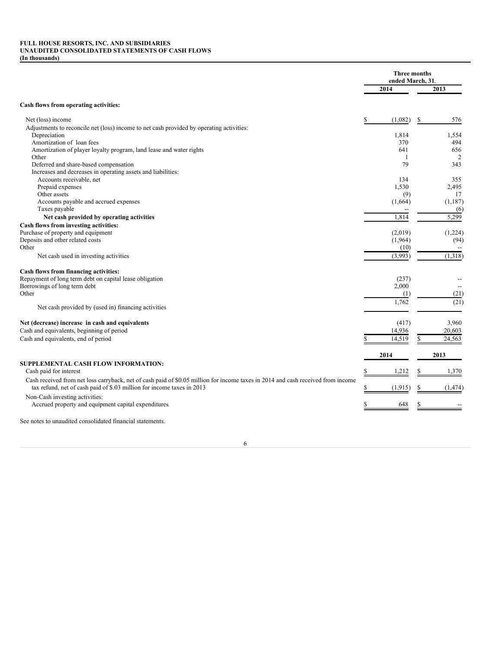## **FULL HOUSE RESORTS, INC. AND SUBSIDIARIES UNAUDITED CONSOLIDATED STATEMENTS OF CASH FLOWS (In thousands)**

|                                                                                                                                                                                                            | <b>Three months</b><br>ended March, 31, |                |
|------------------------------------------------------------------------------------------------------------------------------------------------------------------------------------------------------------|-----------------------------------------|----------------|
|                                                                                                                                                                                                            | 2014                                    | 2013           |
| Cash flows from operating activities:                                                                                                                                                                      |                                         |                |
| Net (loss) income                                                                                                                                                                                          | (1,082)                                 | 576<br>S       |
| Adjustments to reconcile net (loss) income to net cash provided by operating activities:                                                                                                                   |                                         |                |
| Depreciation                                                                                                                                                                                               | 1.814                                   | 1,554          |
| Amortization of loan fees                                                                                                                                                                                  | 370                                     | 494            |
| Amortization of player loyalty program, land lease and water rights                                                                                                                                        | 641                                     | 656            |
| Other                                                                                                                                                                                                      | 1                                       | $\overline{2}$ |
| Deferred and share-based compensation                                                                                                                                                                      | 79                                      | 343            |
| Increases and decreases in operating assets and liabilities:                                                                                                                                               |                                         |                |
| Accounts receivable, net                                                                                                                                                                                   | 134                                     | 355            |
| Prepaid expenses                                                                                                                                                                                           | 1,530                                   | 2,495          |
| Other assets                                                                                                                                                                                               | (9)                                     | 17             |
| Accounts payable and accrued expenses                                                                                                                                                                      | (1,664)                                 | (1,187)        |
| Taxes payable                                                                                                                                                                                              |                                         | (6)            |
| Net cash provided by operating activities                                                                                                                                                                  | 1,814                                   | 5,299          |
| Cash flows from investing activities:                                                                                                                                                                      |                                         |                |
| Purchase of property and equipment                                                                                                                                                                         | (2,019)                                 | (1,224)        |
| Deposits and other related costs                                                                                                                                                                           | (1,964)                                 | (94)           |
| Other                                                                                                                                                                                                      | (10)                                    |                |
| Net cash used in investing activities                                                                                                                                                                      | (3,993)                                 | (1,318)        |
| Cash flows from financing activities:                                                                                                                                                                      |                                         |                |
| Repayment of long term debt on capital lease obligation                                                                                                                                                    | (237)                                   |                |
| Borrowings of long term debt                                                                                                                                                                               | 2,000                                   |                |
| Other                                                                                                                                                                                                      | (1)                                     | (21)           |
|                                                                                                                                                                                                            | 1,762                                   | (21)           |
| Net cash provided by (used in) financing activities                                                                                                                                                        |                                         |                |
| Net (decrease) increase in cash and equivalents                                                                                                                                                            | (417)                                   | 3,960          |
| Cash and equivalents, beginning of period                                                                                                                                                                  | 14,936                                  | 20,603         |
| Cash and equivalents, end of period                                                                                                                                                                        | 14,519                                  | 24,563         |
|                                                                                                                                                                                                            | 2014                                    | 2013           |
| SUPPLEMENTAL CASH FLOW INFORMATION:                                                                                                                                                                        |                                         |                |
| Cash paid for interest                                                                                                                                                                                     | 1,212                                   | 1,370          |
| Cash received from net loss carryback, net of cash paid of \$0.05 million for income taxes in 2014 and cash received from income<br>tax refund, net of cash paid of \$.03 million for income taxes in 2013 | (1, 915)                                | (1, 474)       |
|                                                                                                                                                                                                            |                                         |                |
| Non-Cash investing activities:<br>Accrued property and equipment capital expenditures                                                                                                                      | 648                                     |                |
| See notes to unaudited consolidated financial statements.                                                                                                                                                  |                                         |                |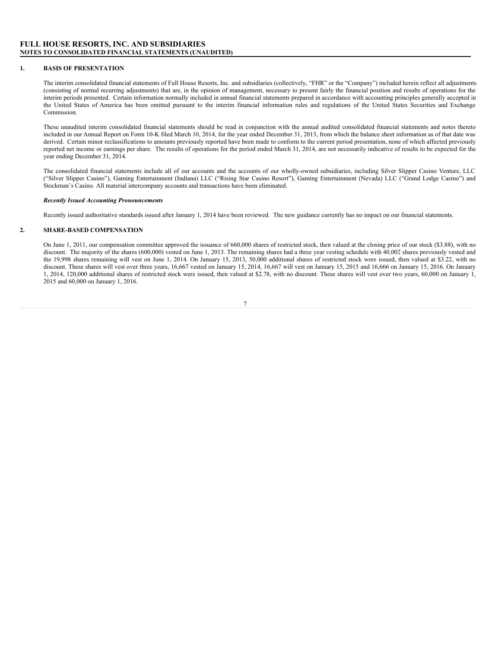## **FULL HOUSE RESORTS, INC. AND SUBSIDIARIES NOTES TO CONSOLIDATED FINANCIAL STATEMENTS (UNAUDITED)**

## **1. BASIS OF PRESENTATION**

The interim consolidated financial statements of Full House Resorts, Inc. and subsidiaries (collectively, "FHR" or the "Company") included herein reflect all adjustments (consisting of normal recurring adjustments) that are, in the opinion of management, necessary to present fairly the financial position and results of operations for the interim periods presented. Certain information normally included in annual financial statements prepared in accordance with accounting principles generally accepted in the United States of America has been omitted pursuant to the interim financial information rules and regulations of the United States Securities and Exchange Commission.

These unaudited interim consolidated financial statements should be read in conjunction with the annual audited consolidated financial statements and notes thereto included in our Annual Report on Form 10-K filed March 10, 2014, for the year ended December 31, 2013, from which the balance sheet information as of that date was derived. Certain minor reclassifications to amounts previously reported have been made to conform to the current period presentation, none of which affected previously reported net income or earnings per share. The results of operations for the period ended March 31, 2014, are not necessarily indicative of results to be expected for the year ending December 31, 2014.

The consolidated financial statements include all of our accounts and the accounts of our wholly-owned subsidiaries, including Silver Slipper Casino Venture, LLC ("Silver Slipper Casino"), Gaming Entertainment (Indiana) LLC ("Rising Star Casino Resort"), Gaming Entertainment (Nevada) LLC ("Grand Lodge Casino") and Stockman's Casino. All material intercompany accounts and transactions have been eliminated.

## *Recently Issued Accounting Pronouncements*

Recently issued authoritative standards issued after January 1, 2014 have been reviewed. The new guidance currently has no impact on our financial statements.

## **2. SHARE-BASED COMPENSATION**

On June 1, 2011, our compensation committee approved the issuance of 660,000 shares of restricted stock, then valued at the closing price of our stock (\$3.88), with no discount. The majority of the shares (600,000) vested on June 1, 2013. The remaining shares had a three year vesting schedule with 40,002 shares previously vested and the 19,998 shares remaining will vest on June 1, 2014. On January 15, 2013, 50,000 additional shares of restricted stock were issued, then valued at \$3.22, with no discount. These shares will vest over three years, 16,667 vested on January 15, 2014, 16,667 will vest on January 15, 2015 and 16,666 on January 15, 2016. On January 1, 2014, 120,000 additional shares of restricted stock were issued, then valued at \$2.78, with no discount. These shares will vest over two years, 60,000 on January 1, 2015 and 60,000 on January 1, 2016.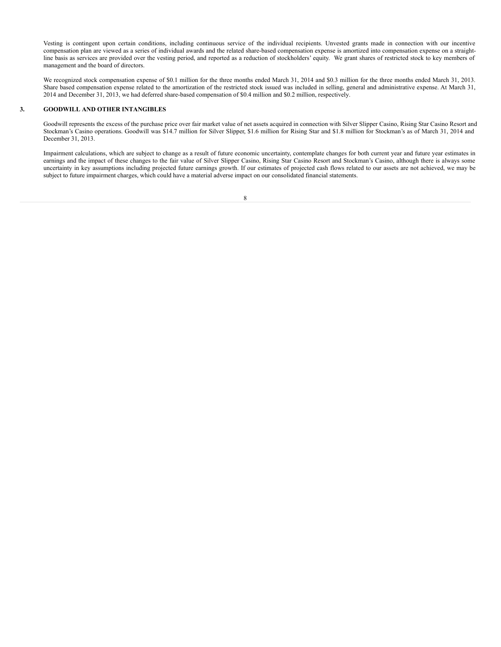Vesting is contingent upon certain conditions, including continuous service of the individual recipients. Unvested grants made in connection with our incentive compensation plan are viewed as a series of individual awards and the related share-based compensation expense is amortized into compensation expense on a straightline basis as services are provided over the vesting period, and reported as a reduction of stockholders' equity. We grant shares of restricted stock to key members of management and the board of directors.

We recognized stock compensation expense of \$0.1 million for the three months ended March 31, 2014 and \$0.3 million for the three months ended March 31, 2013. Share based compensation expense related to the amortization of the restricted stock issued was included in selling, general and administrative expense. At March 31, 2014 and December 31, 2013, we had deferred share-based compensation of \$0.4 million and \$0.2 million, respectively.

## **3. GOODWILL AND OTHER INTANGIBLES**

Goodwill represents the excess of the purchase price over fair market value of net assets acquired in connection with Silver Slipper Casino, Rising Star Casino Resort and Stockman's Casino operations. Goodwill was \$14.7 million for Silver Slipper, \$1.6 million for Rising Star and \$1.8 million for Stockman's as of March 31, 2014 and December 31, 2013.

Impairment calculations, which are subject to change as a result of future economic uncertainty, contemplate changes for both current year and future year estimates in earnings and the impact of these changes to the fair value of Silver Slipper Casino, Rising Star Casino Resort and Stockman's Casino, although there is always some uncertainty in key assumptions including projected future earnings growth. If our estimates of projected cash flows related to our assets are not achieved, we may be subject to future impairment charges, which could have a material adverse impact on our consolidated financial statements.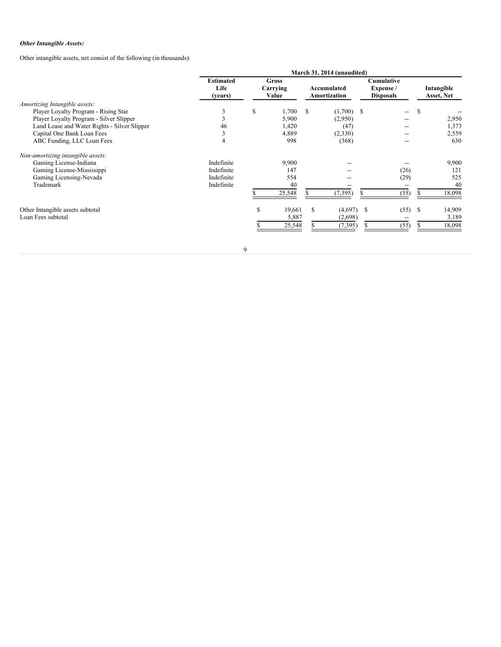## *Other Intangible Assets:*

Other intangible assets, net consist of the following (in thousands):

|                                              | March 31, 2014 (unaudited)          |    |                            |                             |              |                                             |               |                          |  |  |
|----------------------------------------------|-------------------------------------|----|----------------------------|-----------------------------|--------------|---------------------------------------------|---------------|--------------------------|--|--|
|                                              | <b>Estimated</b><br>Life<br>(years) |    | Gross<br>Carrying<br>Value | Accumulated<br>Amortization |              | Cumulative<br>Expense /<br><b>Disposals</b> |               | Intangible<br>Asset, Net |  |  |
| Amortizing Intangible assets:                |                                     |    |                            |                             |              |                                             |               |                          |  |  |
| Player Loyalty Program - Rising Star         | 3                                   | \$ | 1,700                      | S                           | $(1,700)$ \$ | --                                          | <sup>\$</sup> |                          |  |  |
| Player Loyalty Program - Silver Slipper      | 3                                   |    | 5,900                      |                             | (2,950)      |                                             |               | 2,950                    |  |  |
| Land Lease and Water Rights - Silver Slipper | 46                                  |    | 1,420                      |                             | (47)         | --                                          |               | 1,373                    |  |  |
| Capital One Bank Loan Fees                   | 3                                   |    | 4,889                      |                             | (2,330)      | --                                          |               | 2,559                    |  |  |
| ABC Funding, LLC Loan Fees                   | 4                                   |    | 998                        |                             | (368)        | --                                          |               | 630                      |  |  |
| Non-amortizing intangible assets:            |                                     |    |                            |                             |              |                                             |               |                          |  |  |
| Gaming License-Indiana                       | Indefinite                          |    | 9,900                      |                             |              |                                             |               | 9,900                    |  |  |
| Gaming License-Mississippi                   | Indefinite                          |    | 147                        |                             |              | (26)                                        |               | 121                      |  |  |
| Gaming Licensing-Nevada                      | Indefinite                          |    | 554                        |                             |              | (29)                                        |               | 525                      |  |  |
| Trademark                                    | Indefinite                          |    | 40                         |                             |              |                                             |               | 40                       |  |  |
|                                              |                                     |    | 25,548                     |                             | (7, 395)     | (55)                                        |               | 18,098                   |  |  |
| Other Intangible assets subtotal             |                                     | \$ | 19,661                     | \$                          | (4,697)      | -S<br>(55)                                  | <sup>\$</sup> | 14,909                   |  |  |
| Loan Fees subtotal                           |                                     |    | 5,887                      |                             | (2,698)      |                                             |               | 3,189                    |  |  |
|                                              |                                     |    | 25,548                     |                             | (7, 395)     | (55)                                        |               | 18,098                   |  |  |
|                                              |                                     |    |                            |                             |              |                                             |               |                          |  |  |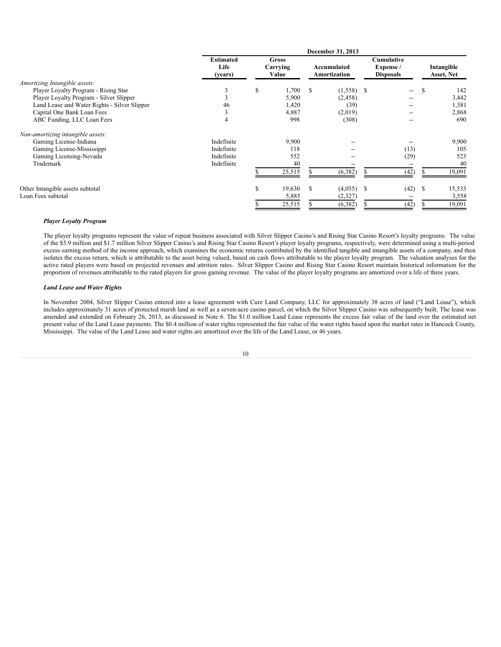|                                              | December 31, 2013                   |                                   |        |                             |              |                                             |       |   |                          |  |  |
|----------------------------------------------|-------------------------------------|-----------------------------------|--------|-----------------------------|--------------|---------------------------------------------|-------|---|--------------------------|--|--|
|                                              | <b>Estimated</b><br>Life<br>(years) | <b>Gross</b><br>Carrying<br>Value |        | Accumulated<br>Amortization |              | Cumulative<br>Expense /<br><b>Disposals</b> |       |   | Intangible<br>Asset, Net |  |  |
| Amortizing Intangible assets:                |                                     |                                   |        |                             |              |                                             |       |   |                          |  |  |
| Player Loyalty Program - Rising Star         | 3                                   | S                                 | 1,700  | <b>S</b>                    | $(1,558)$ \$ |                                             | $- -$ | S | 142                      |  |  |
| Player Loyalty Program - Silver Slipper      | 3                                   |                                   | 5,900  |                             | (2, 458)     |                                             | $- -$ |   | 3,442                    |  |  |
| Land Lease and Water Rights - Silver Slipper | 46                                  |                                   | 1,420  |                             | (39)         |                                             |       |   | 1,381                    |  |  |
| Capital One Bank Loan Fees                   | 3                                   |                                   | 4,887  |                             | (2,019)      |                                             | $- -$ |   | 2,868                    |  |  |
| ABC Funding, LLC Loan Fees                   | 4                                   |                                   | 998    |                             | (308)        |                                             | $- -$ |   | 690                      |  |  |
| Non-amortizing intangible assets:            |                                     |                                   |        |                             |              |                                             |       |   |                          |  |  |
| Gaming License-Indiana                       | Indefinite                          |                                   | 9.900  |                             |              |                                             |       |   | 9,900                    |  |  |
| Gaming License-Mississippi                   | Indefinite                          |                                   | 118    |                             |              |                                             | (13)  |   | 105                      |  |  |
| Gaming Licensing-Nevada                      | Indefinite                          |                                   | 552    |                             |              |                                             | (29)  |   | 523                      |  |  |
| Trademark                                    | Indefinite                          |                                   | 40     |                             |              |                                             |       |   | 40                       |  |  |
|                                              |                                     |                                   | 25,515 |                             | (6, 382)     |                                             | (42)  |   | 19,091                   |  |  |
| Other Intangible assets subtotal             |                                     | S                                 | 19,630 | S                           | (4,055)      | <sup>S</sup>                                | (42)  | S | 15,533                   |  |  |
| Loan Fees subtotal                           |                                     |                                   | 5,885  |                             | (2,327)      |                                             |       |   | 3,558                    |  |  |
|                                              |                                     |                                   | 25,515 |                             | (6,382)      |                                             | (42)  |   | 19,091                   |  |  |

## *Player Loyalty Program*

The player loyalty programs represent the value of repeat business associated with Silver Slipper Casino's and Rising Star Casino Resort's loyalty programs. The value of the \$5.9 million and \$1.7 million Silver Slipper Casino's and Rising Star Casino Resort's player loyalty programs, respectively, were determined using a multi-period excess earning method of the income approach, which examines the economic returns contributed by the identified tangible and intangible assets of a company, and then isolates the excess return, which is attributable to the asset being valued, based on cash flows attributable to the player loyalty program. The valuation analyses for the active rated players were based on projected revenues and attrition rates. Silver Slipper Casino and Rising Star Casino Resort maintain historical information for the proportion of revenues attributable to the rated players for gross gaming revenue. The value of the player loyalty programs are amortized over a life of three years.

## *Land Lease and Water Rights*

In November 2004, Silver Slipper Casino entered into a lease agreement with Cure Land Company, LLC for approximately 38 acres of land ("Land Lease"), which includes approximately 31 acres of protected marsh land as well as a seven-acre casino parcel, on which the Silver Slipper Casino was subsequently built. The lease was amended and extended on February 26, 2013, as discussed in Note 6. The \$1.0 million Land Lease represents the excess fair value of the land over the estimated net present value of the Land Lease payments. The \$0.4 million of water rights represented the fair value of the water rights based upon the market rates in Hancock County, Mississippi. The value of the Land Lease and water rights are amortized over the life of the Land Lease, or 46 years.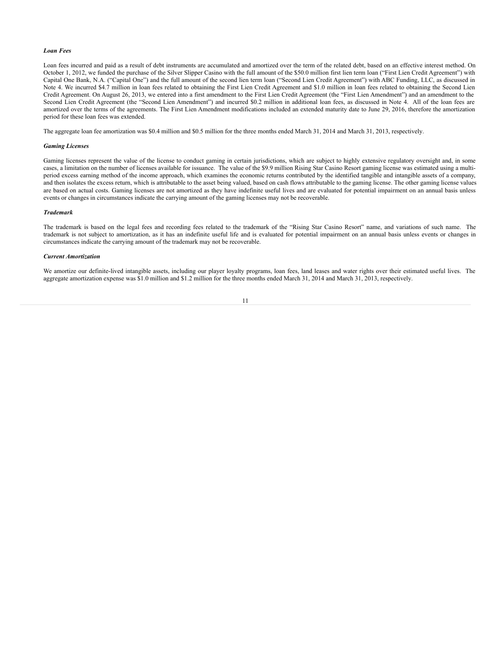#### *Loan Fees*

Loan fees incurred and paid as a result of debt instruments are accumulated and amortized over the term of the related debt, based on an effective interest method. On October 1, 2012, we funded the purchase of the Silver Slipper Casino with the full amount of the \$50.0 million first lien term loan ("First Lien Credit Agreement") with Capital One Bank, N.A. ("Capital One") and the full amount of the second lien term loan ("Second Lien Credit Agreement") with ABC Funding, LLC, as discussed in Note 4. We incurred \$4.7 million in loan fees related to obtaining the First Lien Credit Agreement and \$1.0 million in loan fees related to obtaining the Second Lien Credit Agreement. On August 26, 2013, we entered into a first amendment to the First Lien Credit Agreement (the "First Lien Amendment") and an amendment to the Second Lien Credit Agreement (the "Second Lien Amendment") and incurred \$0.2 million in additional loan fees, as discussed in Note 4. All of the loan fees are amortized over the terms of the agreements. The First Lien Amendment modifications included an extended maturity date to June 29, 2016, therefore the amortization period for these loan fees was extended.

The aggregate loan fee amortization was \$0.4 million and \$0.5 million for the three months ended March 31, 2014 and March 31, 2013, respectively.

#### *Gaming Licenses*

Gaming licenses represent the value of the license to conduct gaming in certain jurisdictions, which are subject to highly extensive regulatory oversight and, in some cases, a limitation on the number of licenses available for issuance. The value of the \$9.9 million Rising Star Casino Resort gaming license was estimated using a multiperiod excess earning method of the income approach, which examines the economic returns contributed by the identified tangible and intangible assets of a company, and then isolates the excess return, which is attributable to the asset being valued, based on cash flows attributable to the gaming license. The other gaming license values are based on actual costs. Gaming licenses are not amortized as they have indefinite useful lives and are evaluated for potential impairment on an annual basis unless events or changes in circumstances indicate the carrying amount of the gaming licenses may not be recoverable.

## *Trademark*

The trademark is based on the legal fees and recording fees related to the trademark of the "Rising Star Casino Resort" name, and variations of such name. The trademark is not subject to amortization, as it has an indefinite useful life and is evaluated for potential impairment on an annual basis unless events or changes in circumstances indicate the carrying amount of the trademark may not be recoverable.

## *Current Amortization*

We amortize our definite-lived intangible assets, including our player loyalty programs, loan fees, land leases and water rights over their estimated useful lives. The aggregate amortization expense was \$1.0 million and \$1.2 million for the three months ended March 31, 2014 and March 31, 2013, respectively.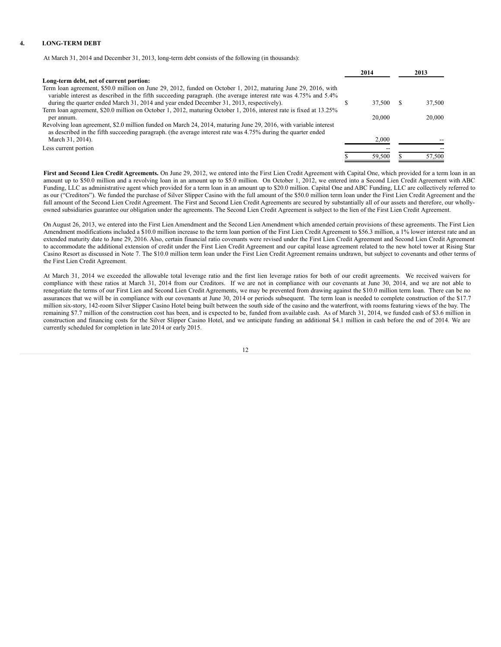## **4. LONG-TERM DEBT**

At March 31, 2014 and December 31, 2013, long-term debt consists of the following (in thousands):

|                                                                                                                                                                                                                                   | 2014   |   | 2013   |
|-----------------------------------------------------------------------------------------------------------------------------------------------------------------------------------------------------------------------------------|--------|---|--------|
| Long-term debt, net of current portion:                                                                                                                                                                                           |        |   |        |
| Term loan agreement, \$50.0 million on June 29, 2012, funded on October 1, 2012, maturing June 29, 2016, with                                                                                                                     |        |   |        |
| variable interest as described in the fifth succeeding paragraph. (the average interest rate was 4.75% and 5.4%                                                                                                                   |        |   |        |
| during the quarter ended March 31, 2014 and year ended December 31, 2013, respectively).                                                                                                                                          | 37.500 | S | 37,500 |
| Term loan agreement, \$20.0 million on October 1, 2012, maturing October 1, 2016, interest rate is fixed at 13.25%                                                                                                                |        |   |        |
| per annum.                                                                                                                                                                                                                        | 20,000 |   | 20,000 |
| Revolving loan agreement, \$2.0 million funded on March 24, 2014, maturing June 29, 2016, with variable interest<br>as described in the fifth succeeding paragraph. (the average interest rate was 4.75% during the quarter ended |        |   |        |
| March 31, 2014).                                                                                                                                                                                                                  | 2.000  |   |        |
| Less current portion                                                                                                                                                                                                              |        |   |        |
|                                                                                                                                                                                                                                   | 59,500 |   | 57,500 |

**First and Second Lien Credit Agreements.** On June 29, 2012, we entered into the First Lien Credit Agreement with Capital One, which provided for a term loan in an amount up to \$50.0 million and a revolving loan in an amount up to \$5.0 million. On October 1, 2012, we entered into a Second Lien Credit Agreement with ABC Funding, LLC as administrative agent which provided for a term loan in an amount up to \$20.0 million. Capital One and ABC Funding, LLC are collectively referred to as our ("Creditors"). We funded the purchase of Silver Slipper Casino with the full amount of the \$50.0 million term loan under the First Lien Credit Agreement and the full amount of the Second Lien Credit Agreement. The First and Second Lien Credit Agreements are secured by substantially all of our assets and therefore, our whollyowned subsidiaries guarantee our obligation under the agreements. The Second Lien Credit Agreement is subject to the lien of the First Lien Credit Agreement.

On August 26, 2013, we entered into the First Lien Amendment and the Second Lien Amendment which amended certain provisions of these agreements. The First Lien Amendment modifications included a \$10.0 million increase to the term loan portion of the First Lien Credit Agreement to \$56.3 million, a 1% lower interest rate and an extended maturity date to June 29, 2016. Also, certain financial ratio covenants were revised under the First Lien Credit Agreement and Second Lien Credit Agreement to accommodate the additional extension of credit under the First Lien Credit Agreement and our capital lease agreement related to the new hotel tower at Rising Star Casino Resort as discussed in Note 7. The \$10.0 million term loan under the First Lien Credit Agreement remains undrawn, but subject to covenants and other terms of the First Lien Credit Agreement.

At March 31, 2014 we exceeded the allowable total leverage ratio and the first lien leverage ratios for both of our credit agreements. We received waivers for compliance with these ratios at March 31, 2014 from our Creditors. If we are not in compliance with our covenants at June 30, 2014, and we are not able to renegotiate the terms of our First Lien and Second Lien Credit Agreements, we may be prevented from drawing against the \$10.0 million term loan. There can be no assurances that we will be in compliance with our covenants at June 30, 2014 or periods subsequent. The term loan is needed to complete construction of the \$17.7 million six-story, 142-room Silver Slipper Casino Hotel being built between the south side of the casino and the waterfront, with rooms featuring views of the bay. The remaining \$7.7 million of the construction cost has been, and is expected to be, funded from available cash. As of March 31, 2014, we funded cash of \$3.6 million in construction and financing costs for the Silver Slipper Casino Hotel, and we anticipate funding an additional \$4.1 million in cash before the end of 2014. We are currently scheduled for completion in late 2014 or early 2015.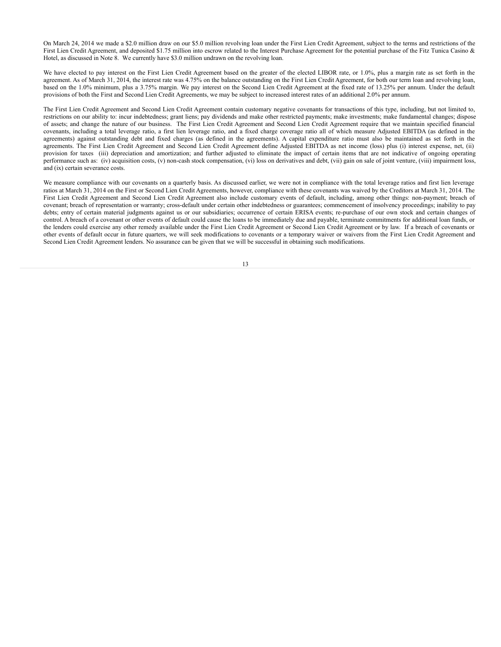On March 24, 2014 we made a \$2.0 million draw on our \$5.0 million revolving loan under the First Lien Credit Agreement, subject to the terms and restrictions of the First Lien Credit Agreement, and deposited \$1.75 million into escrow related to the Interest Purchase Agreement for the potential purchase of the Fitz Tunica Casino & Hotel, as discussed in Note 8. We currently have \$3.0 million undrawn on the revolving loan.

We have elected to pay interest on the First Lien Credit Agreement based on the greater of the elected LIBOR rate, or 1.0%, plus a margin rate as set forth in the agreement. As of March 31, 2014, the interest rate was 4.75% on the balance outstanding on the First Lien Credit Agreement, for both our term loan and revolving loan, based on the 1.0% minimum, plus a 3.75% margin. We pay interest on the Second Lien Credit Agreement at the fixed rate of 13.25% per annum. Under the default provisions of both the First and Second Lien Credit Agreements, we may be subject to increased interest rates of an additional 2.0% per annum.

The First Lien Credit Agreement and Second Lien Credit Agreement contain customary negative covenants for transactions of this type, including, but not limited to, restrictions on our ability to: incur indebtedness; grant liens; pay dividends and make other restricted payments; make investments; make fundamental changes; dispose of assets; and change the nature of our business. The First Lien Credit Agreement and Second Lien Credit Agreement require that we maintain specified financial covenants, including a total leverage ratio, a first lien leverage ratio, and a fixed charge coverage ratio all of which measure Adjusted EBITDA (as defined in the agreements) against outstanding debt and fixed charges (as defined in the agreements). A capital expenditure ratio must also be maintained as set forth in the agreements. The First Lien Credit Agreement and Second Lien Credit Agreement define Adjusted EBITDA as net income (loss) plus (i) interest expense, net, (ii) provision for taxes (iii) depreciation and amortization; and further adjusted to eliminate the impact of certain items that are not indicative of ongoing operating performance such as: (iv) acquisition costs, (v) non-cash stock compensation, (vi) loss on derivatives and debt, (vii) gain on sale of joint venture, (viii) impairment loss, and (ix) certain severance costs.

We measure compliance with our covenants on a quarterly basis. As discussed earlier, we were not in compliance with the total leverage ratios and first lien leverage ratios at March 31, 2014 on the First or Second Lien Credit Agreements, however, compliance with these covenants was waived by the Creditors at March 31, 2014. The First Lien Credit Agreement and Second Lien Credit Agreement also include customary events of default, including, among other things: non-payment; breach of covenant; breach of representation or warranty; cross-default under certain other indebtedness or guarantees; commencement of insolvency proceedings; inability to pay debts; entry of certain material judgments against us or our subsidiaries; occurrence of certain ERISA events; re-purchase of our own stock and certain changes of control. A breach of a covenant or other events of default could cause the loans to be immediately due and payable, terminate commitments for additional loan funds, or the lenders could exercise any other remedy available under the First Lien Credit Agreement or Second Lien Credit Agreement or by law. If a breach of covenants or other events of default occur in future quarters, we will seek modifications to covenants or a temporary waiver or waivers from the First Lien Credit Agreement and Second Lien Credit Agreement lenders. No assurance can be given that we will be successful in obtaining such modifications.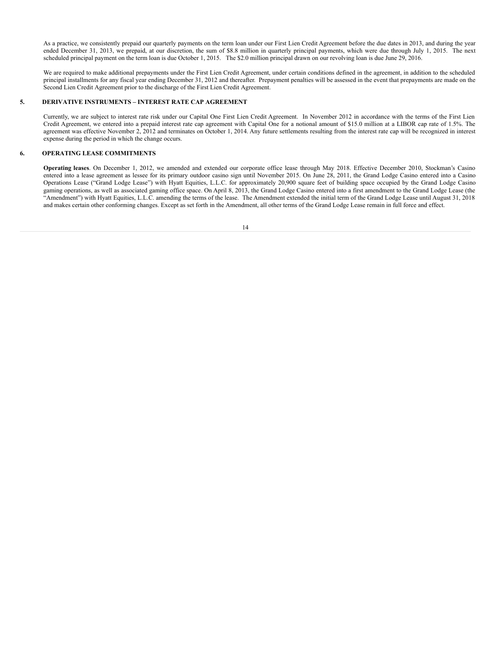As a practice, we consistently prepaid our quarterly payments on the term loan under our First Lien Credit Agreement before the due dates in 2013, and during the year ended December 31, 2013, we prepaid, at our discretion, the sum of \$8.8 million in quarterly principal payments, which were due through July 1, 2015. The next scheduled principal payment on the term loan is due October 1, 2015. The \$2.0 million principal drawn on our revolving loan is due June 29, 2016.

We are required to make additional prepayments under the First Lien Credit Agreement, under certain conditions defined in the agreement, in addition to the scheduled principal installments for any fiscal year ending December 31, 2012 and thereafter. Prepayment penalties will be assessed in the event that prepayments are made on the Second Lien Credit Agreement prior to the discharge of the First Lien Credit Agreement.

## **5. DERIVATIVE INSTRUMENTS – INTEREST RATE CAP AGREEMENT**

Currently, we are subject to interest rate risk under our Capital One First Lien Credit Agreement. In November 2012 in accordance with the terms of the First Lien Credit Agreement, we entered into a prepaid interest rate cap agreement with Capital One for a notional amount of \$15.0 million at a LIBOR cap rate of 1.5%. The agreement was effective November 2, 2012 and terminates on October 1, 2014. Any future settlements resulting from the interest rate cap will be recognized in interest expense during the period in which the change occurs.

## **6. OPERATING LEASE COMMITMENTS**

**Operating leases**. On December 1, 2012, we amended and extended our corporate office lease through May 2018. Effective December 2010, Stockman's Casino entered into a lease agreement as lessee for its primary outdoor casino sign until November 2015. On June 28, 2011, the Grand Lodge Casino entered into a Casino Operations Lease ("Grand Lodge Lease") with Hyatt Equities, L.L.C. for approximately 20,900 square feet of building space occupied by the Grand Lodge Casino gaming operations, as well as associated gaming office space. On April 8, 2013, the Grand Lodge Casino entered into a first amendment to the Grand Lodge Lease (the "Amendment") with Hyatt Equities, L.L.C. amending the terms of the lease. The Amendment extended the initial term of the Grand Lodge Lease until August 31, 2018 and makes certain other conforming changes. Except as set forth in the Amendment, all other terms of the Grand Lodge Lease remain in full force and effect.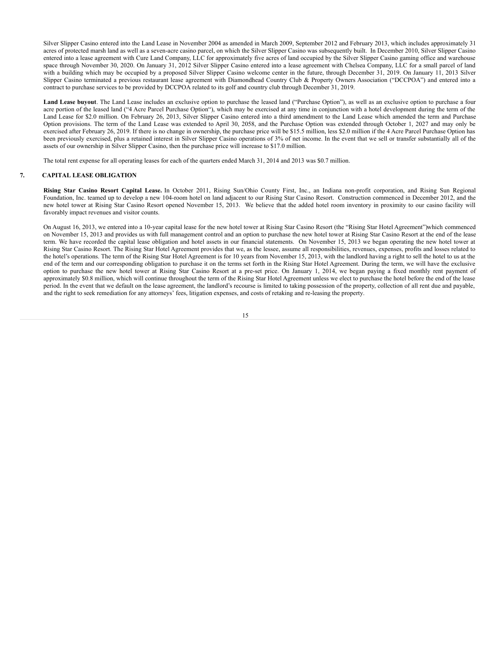Silver Slipper Casino entered into the Land Lease in November 2004 as amended in March 2009, September 2012 and February 2013, which includes approximately 31 acres of protected marsh land as well as a seven-acre casino parcel, on which the Silver Slipper Casino was subsequently built. In December 2010, Silver Slipper Casino entered into a lease agreement with Cure Land Company, LLC for approximately five acres of land occupied by the Silver Slipper Casino gaming office and warehouse space through November 30, 2020. On January 31, 2012 Silver Slipper Casino entered into a lease agreement with Chelsea Company, LLC for a small parcel of land with a building which may be occupied by a proposed Silver Slipper Casino welcome center in the future, through December 31, 2019. On January 11, 2013 Silver Slipper Casino terminated a previous restaurant lease agreement with Diamondhead Country Club & Property Owners Association ("DCCPOA") and entered into a contract to purchase services to be provided by DCCPOA related to its golf and country club through December 31, 2019.

**Land Lease buyout**. The Land Lease includes an exclusive option to purchase the leased land ("Purchase Option"), as well as an exclusive option to purchase a four acre portion of the leased land ("4 Acre Parcel Purchase Option"), which may be exercised at any time in conjunction with a hotel development during the term of the Land Lease for \$2.0 million. On February 26, 2013, Silver Slipper Casino entered into a third amendment to the Land Lease which amended the term and Purchase Option provisions. The term of the Land Lease was extended to April 30, 2058, and the Purchase Option was extended through October 1, 2027 and may only be exercised after February 26, 2019. If there is no change in ownership, the purchase price will be \$15.5 million, less \$2.0 million if the 4 Acre Parcel Purchase Option has been previously exercised, plus a retained interest in Silver Slipper Casino operations of 3% of net income. In the event that we sell or transfer substantially all of the assets of our ownership in Silver Slipper Casino, then the purchase price will increase to \$17.0 million.

The total rent expense for all operating leases for each of the quarters ended March 31, 2014 and 2013 was \$0.7 million.

## **7. CAPITAL LEASE OBLIGATION**

**Rising Star Casino Resort Capital Lease.** In October 2011, Rising Sun/Ohio County First, Inc., an Indiana non-profit corporation, and Rising Sun Regional Foundation, Inc. teamed up to develop a new 104-room hotel on land adjacent to our Rising Star Casino Resort. Construction commenced in December 2012, and the new hotel tower at Rising Star Casino Resort opened November 15, 2013. We believe that the added hotel room inventory in proximity to our casino facility will favorably impact revenues and visitor counts.

On August 16, 2013, we entered into a 10-year capital lease for the new hotel tower at Rising Star Casino Resort (the "Rising Star Hotel Agreement")which commenced on November 15, 2013 and provides us with full management control and an option to purchase the new hotel tower at Rising Star Casino Resort at the end of the lease term. We have recorded the capital lease obligation and hotel assets in our financial statements. On November 15, 2013 we began operating the new hotel tower at Rising Star Casino Resort. The Rising Star Hotel Agreement provides that we, as the lessee, assume all responsibilities, revenues, expenses, profits and losses related to the hotel's operations. The term of the Rising Star Hotel Agreement is for 10 years from November 15, 2013, with the landlord having a right to sell the hotel to us at the end of the term and our corresponding obligation to purchase it on the terms set forth in the Rising Star Hotel Agreement. During the term, we will have the exclusive option to purchase the new hotel tower at Rising Star Casino Resort at a pre-set price. On January 1, 2014, we began paying a fixed monthly rent payment of approximately \$0.8 million, which will continue throughout the term of the Rising Star Hotel Agreement unless we elect to purchase the hotel before the end of the lease period. In the event that we default on the lease agreement, the landlord's recourse is limited to taking possession of the property, collection of all rent due and payable, and the right to seek remediation for any attorneys' fees, litigation expenses, and costs of retaking and re-leasing the property.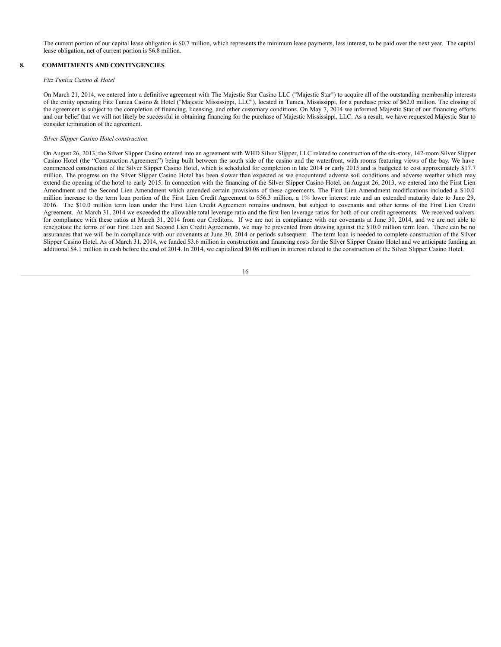The current portion of our capital lease obligation is \$0.7 million, which represents the minimum lease payments, less interest, to be paid over the next year. The capital lease obligation, net of current portion is \$6.8 million.

## **8. COMMITMENTS AND CONTINGENCIES**

## *Fitz Tunica Casino & Hotel*

On March 21, 2014, we entered into a definitive agreement with The Majestic Star Casino LLC ("Majestic Star") to acquire all of the outstanding membership interests of the entity operating Fitz Tunica Casino & Hotel ("Majestic Mississippi, LLC"), located in Tunica, Mississippi, for a purchase price of \$62.0 million. The closing of the agreement is subject to the completion of financing, licensing, and other customary conditions. On May 7, 2014 we informed Majestic Star of our financing efforts and our belief that we will not likely be successful in obtaining financing for the purchase of Majestic Mississippi, LLC. As a result, we have requested Majestic Star to consider termination of the agreement.

## *Silver Slipper Casino Hotel construction*

On August 26, 2013, the Silver Slipper Casino entered into an agreement with WHD Silver Slipper, LLC related to construction of the six-story, 142-room Silver Slipper Casino Hotel (the "Construction Agreement") being built between the south side of the casino and the waterfront, with rooms featuring views of the bay. We have commenced construction of the Silver Slipper Casino Hotel, which is scheduled for completion in late 2014 or early 2015 and is budgeted to cost approximately \$17.7 million. The progress on the Silver Slipper Casino Hotel has been slower than expected as we encountered adverse soil conditions and adverse weather which may extend the opening of the hotel to early 2015. In connection with the financing of the Silver Slipper Casino Hotel, on August 26, 2013, we entered into the First Lien Amendment and the Second Lien Amendment which amended certain provisions of these agreements. The First Lien Amendment modifications included a \$10.0 million increase to the term loan portion of the First Lien Credit Agreement to \$56.3 million, a 1% lower interest rate and an extended maturity date to June 29, 2016. The \$10.0 million term loan under the First Lien Credit Agreement remains undrawn, but subject to covenants and other terms of the First Lien Credit Agreement. At March 31, 2014 we exceeded the allowable total leverage ratio and the first lien leverage ratios for both of our credit agreements. We received waivers for compliance with these ratios at March 31, 2014 from our Creditors. If we are not in compliance with our covenants at June 30, 2014, and we are not able to renegotiate the terms of our First Lien and Second Lien Credit Agreements, we may be prevented from drawing against the \$10.0 million term loan. There can be no assurances that we will be in compliance with our covenants at June 30, 2014 or periods subsequent. The term loan is needed to complete construction of the Silver Slipper Casino Hotel. As of March 31, 2014, we funded \$3.6 million in construction and financing costs for the Silver Slipper Casino Hotel and we anticipate funding an additional \$4.1 million in cash before the end of 2014. In 2014, we capitalized \$0.08 million in interest related to the construction of the Silver Slipper Casino Hotel.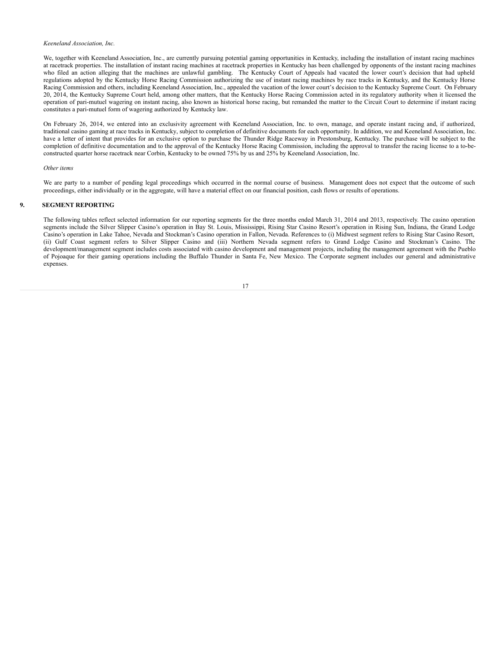## *Keeneland Association, Inc.*

We, together with Keeneland Association, Inc., are currently pursuing potential gaming opportunities in Kentucky, including the installation of instant racing machines at racetrack properties. The installation of instant racing machines at racetrack properties in Kentucky has been challenged by opponents of the instant racing machines who filed an action alleging that the machines are unlawful gambling. The Kentucky Court of Appeals had vacated the lower court's decision that had upheld regulations adopted by the Kentucky Horse Racing Commission authorizing the use of instant racing machines by race tracks in Kentucky, and the Kentucky Horse Racing Commission and others, including Keeneland Association, Inc., appealed the vacation of the lower court's decision to the Kentucky Supreme Court. On February 20, 2014, the Kentucky Supreme Court held, among other matters, that the Kentucky Horse Racing Commission acted in its regulatory authority when it licensed the operation of pari-mutuel wagering on instant racing, also known as historical horse racing, but remanded the matter to the Circuit Court to determine if instant racing constitutes a pari-mutuel form of wagering authorized by Kentucky law.

On February 26, 2014, we entered into an exclusivity agreement with Keeneland Association, Inc. to own, manage, and operate instant racing and, if authorized, traditional casino gaming at race tracks in Kentucky, subject to completion of definitive documents for each opportunity. In addition, we and Keeneland Association, Inc. have a letter of intent that provides for an exclusive option to purchase the Thunder Ridge Raceway in Prestonsburg, Kentucky. The purchase will be subject to the completion of definitive documentation and to the approval of the Kentucky Horse Racing Commission, including the approval to transfer the racing license to a to-beconstructed quarter horse racetrack near Corbin, Kentucky to be owned 75% by us and 25% by Keeneland Association, Inc.

#### *Other items*

We are party to a number of pending legal proceedings which occurred in the normal course of business. Management does not expect that the outcome of such proceedings, either individually or in the aggregate, will have a material effect on our financial position, cash flows or results of operations.

## **9. SEGMENT REPORTING**

The following tables reflect selected information for our reporting segments for the three months ended March 31, 2014 and 2013, respectively. The casino operation segments include the Silver Slipper Casino's operation in Bay St. Louis, Mississippi, Rising Star Casino Resort's operation in Rising Sun, Indiana, the Grand Lodge Casino's operation in Lake Tahoe, Nevada and Stockman's Casino operation in Fallon, Nevada. References to (i) Midwest segment refers to Rising Star Casino Resort, (ii) Gulf Coast segment refers to Silver Slipper Casino and (iii) Northern Nevada segment refers to Grand Lodge Casino and Stockman's Casino. The development/management segment includes costs associated with casino development and management projects, including the management agreement with the Pueblo of Pojoaque for their gaming operations including the Buffalo Thunder in Santa Fe, New Mexico. The Corporate segment includes our general and administrative expenses.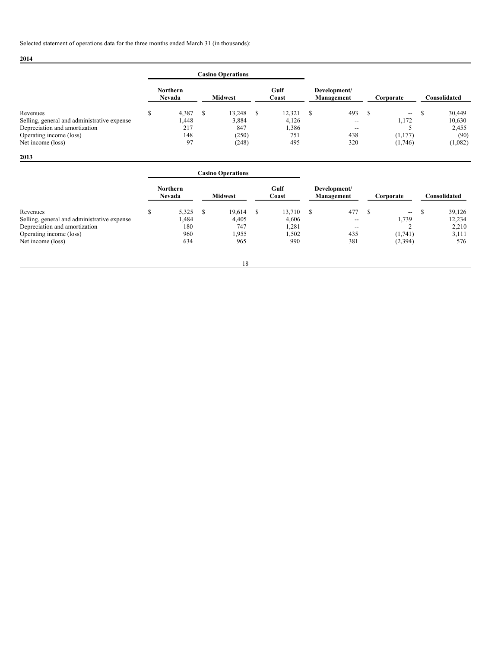# **2014**

|                                             |                                  |   | <b>Casino Operations</b> |   |               |                            |                                       |           |                                       |     |              |
|---------------------------------------------|----------------------------------|---|--------------------------|---|---------------|----------------------------|---------------------------------------|-----------|---------------------------------------|-----|--------------|
|                                             | <b>Northern</b><br><b>Nevada</b> |   | <b>Midwest</b>           |   | Gulf<br>Coast | Development/<br>Management |                                       | Corporate |                                       |     | Consolidated |
| Revenues                                    | 4,387                            | S | 13.248                   | S | 12.321        | S                          | 493                                   |           | $\hspace{0.05cm}$ – $\hspace{0.05cm}$ | - 3 | 30,449       |
| Selling, general and administrative expense | .448                             |   | 3,884                    |   | 4,126         |                            | $\hspace{0.05cm}$ – $\hspace{0.05cm}$ |           | 1,172                                 |     | 10,630       |
| Depreciation and amortization               | 217                              |   | 847                      |   | 1,386         |                            | $\hspace{0.05cm}$ – $\hspace{0.05cm}$ |           |                                       |     | 2,455        |
| Operating income (loss)                     | 148                              |   | (250)                    |   | 751           |                            | 438                                   |           | (1,177)                               |     | (90)         |
| Net income (loss)                           | 97                               |   | (248)                    |   | 495           |                            | 320                                   |           | (1,746)                               |     | (1,082)      |

|                                             |   |                           |     | <b>Casino Operations</b> |    |               |   |                            |   |                     |   |              |
|---------------------------------------------|---|---------------------------|-----|--------------------------|----|---------------|---|----------------------------|---|---------------------|---|--------------|
|                                             |   | <b>Northern</b><br>Nevada |     | <b>Midwest</b>           |    | Gulf<br>Coast |   | Development/<br>Management |   | Corporate           |   | Consolidated |
| Revenues                                    | S | 5,325                     | - S | 19.614                   | -S | 13,710        | S | 477                        | S | $\hspace{0.05cm} -$ | S | 39,126       |
| Selling, general and administrative expense |   | 1,484                     |     | 4,405                    |    | 4,606         |   | $\hspace{0.05cm}$          |   | 1,739               |   | 12,234       |
| Depreciation and amortization               |   | 180                       |     | 747                      |    | 1,281         |   | $- -$                      |   |                     |   | 2,210        |
| Operating income (loss)                     |   | 960                       |     | 1,955                    |    | .502          |   | 435                        |   | (1,741)             |   | 3,111        |
| Net income (loss)                           |   | 634                       |     | 965                      |    | 990           |   | 381                        |   | (2,394)             |   | 576          |
|                                             |   |                           |     | 18                       |    |               |   |                            |   |                     |   |              |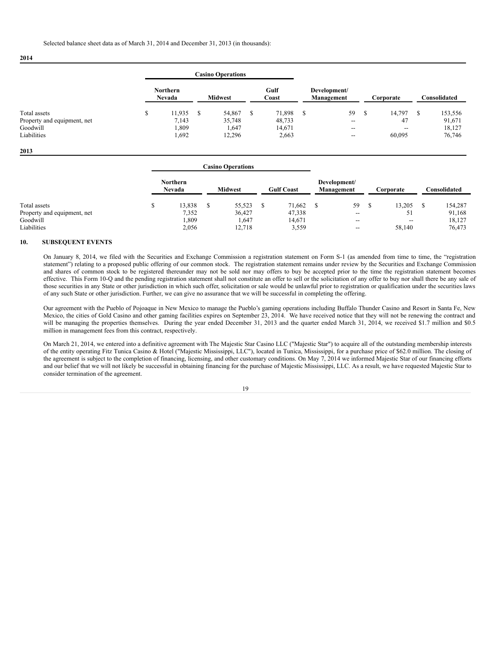**2014**

|                             |                                  |  | <b>Casino Operations</b> |   |                |  |                          |  |        |         |               |  |                            |  |           |              |
|-----------------------------|----------------------------------|--|--------------------------|---|----------------|--|--------------------------|--|--------|---------|---------------|--|----------------------------|--|-----------|--------------|
|                             | <b>Northern</b><br><b>Nevada</b> |  |                          |   | <b>Midwest</b> |  |                          |  |        |         | Gulf<br>Coast |  | Development/<br>Management |  | Corporate | Consolidated |
| Total assets                | 11.935                           |  | 54,867                   | Ъ | 71.898         |  | 59                       |  | 14,797 | 153,556 |               |  |                            |  |           |              |
| Property and equipment, net | 7,143                            |  | 35,748                   |   | 48,733         |  | $\overline{\phantom{m}}$ |  | 47     | 91,671  |               |  |                            |  |           |              |
| Goodwill                    | 1,809                            |  | 1,647                    |   | 14,671         |  | $\overline{\phantom{m}}$ |  | $- -$  | 18,127  |               |  |                            |  |           |              |
| Liabilities                 | 1,692                            |  | 12,296                   |   | 2,663          |  | $\overline{\phantom{a}}$ |  | 60,095 | 76,746  |               |  |                            |  |           |              |

#### **2013**

|                             |                                  | <b>Casino Operations</b> |  |                   |  |                            |  |                          |              |
|-----------------------------|----------------------------------|--------------------------|--|-------------------|--|----------------------------|--|--------------------------|--------------|
|                             | <b>Northern</b><br><b>Nevada</b> | <b>Midwest</b>           |  | <b>Gulf Coast</b> |  | Development/<br>Management |  | Corporate                | Consolidated |
| Total assets                | 13,838                           | 55,523                   |  | 71,662            |  | 59                         |  | 13.205                   | 154,287      |
| Property and equipment, net | 7,352                            | 36,427                   |  | 47,338            |  | $\overline{\phantom{a}}$   |  | 51                       | 91,168       |
| Goodwill                    | 1,809                            | 1,647                    |  | 14,671            |  | $\overline{\phantom{a}}$   |  | $\overline{\phantom{m}}$ | 18,127       |
| Liabilities                 | 2,056                            | 12.718                   |  | 3,559             |  | $\overline{\phantom{a}}$   |  | 58,140                   | 76,473       |

## **10. SUBSEQUENT EVENTS**

On January 8, 2014, we filed with the Securities and Exchange Commission a registration statement on Form S-1 (as amended from time to time, the "registration statement") relating to a proposed public offering of our common stock. The registration statement remains under review by the Securities and Exchange Commission and shares of common stock to be registered thereunder may not be sold nor may offers to buy be accepted prior to the time the registration statement becomes effective. This Form 10-Q and the pending registration statement shall not constitute an offer to sell or the solicitation of any offer to buy nor shall there be any sale of those securities in any State or other jurisdiction in which such offer, solicitation or sale would be unlawful prior to registration or qualification under the securities laws of any such State or other jurisdiction. Further, we can give no assurance that we will be successful in completing the offering.

Our agreement with the Pueblo of Pojoaque in New Mexico to manage the Pueblo's gaming operations including Buffalo Thunder Casino and Resort in Santa Fe, New Mexico, the cities of Gold Casino and other gaming facilities expires on September 23, 2014. We have received notice that they will not be renewing the contract and will be managing the properties themselves. During the year ended December 31, 2013 and the quarter ended March 31, 2014, we received \$1.7 million and \$0.5 million in management fees from this contract, respectively.

On March 21, 2014, we entered into a definitive agreement with The Majestic Star Casino LLC ("Majestic Star") to acquire all of the outstanding membership interests of the entity operating Fitz Tunica Casino & Hotel ("Majestic Mississippi, LLC"), located in Tunica, Mississippi, for a purchase price of \$62.0 million. The closing of the agreement is subject to the completion of financing, licensing, and other customary conditions. On May  $7, 2014$  we informed Majestic Star of our financing efforts and our belief that we will not likely be successful in obtaining financing for the purchase of Majestic Mississippi, LLC. As a result, we have requested Majestic Star to consider termination of the agreement.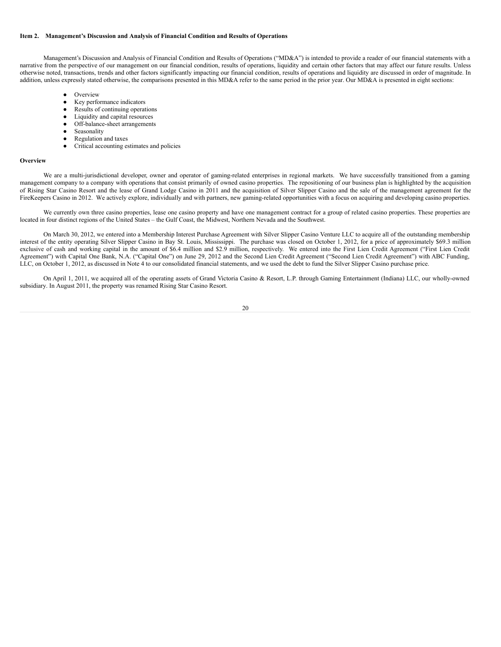## **Item 2. Management's Discussion and Analysis of Financial Condition and Results of Operations**

Management's Discussion and Analysis of Financial Condition and Results of Operations ("MD&A") is intended to provide a reader of our financial statements with a narrative from the perspective of our management on our financial condition, results of operations, liquidity and certain other factors that may affect our future results. Unless otherwise noted, transactions, trends and other factors significantly impacting our financial condition, results of operations and liquidity are discussed in order of magnitude. In addition, unless expressly stated otherwise, the comparisons presented in this MD&A refer to the same period in the prior year. Our MD&A is presented in eight sections:

- **Overview**
- Key performance indicators
- Results of continuing operations<br>• Liquidity and capital resources
- Liquidity and capital resources
- Off-balance-sheet arrangements
- Seasonality
- Regulation and taxes
- Critical accounting estimates and policies

#### **Overview**

We are a multi-jurisdictional developer, owner and operator of gaming-related enterprises in regional markets. We have successfully transitioned from a gaming management company to a company with operations that consist primarily of owned casino properties. The repositioning of our business plan is highlighted by the acquisition of Rising Star Casino Resort and the lease of Grand Lodge Casino in 2011 and the acquisition of Silver Slipper Casino and the sale of the management agreement for the FireKeepers Casino in 2012. We actively explore, individually and with partners, new gaming-related opportunities with a focus on acquiring and developing casino properties.

We currently own three casino properties, lease one casino property and have one management contract for a group of related casino properties. These properties are located in four distinct regions of the United States – the Gulf Coast, the Midwest, Northern Nevada and the Southwest.

On March 30, 2012, we entered into a Membership Interest Purchase Agreement with Silver Slipper Casino Venture LLC to acquire all of the outstanding membership interest of the entity operating Silver Slipper Casino in Bay St. Louis, Mississippi. The purchase was closed on October 1, 2012, for a price of approximately \$69.3 million exclusive of cash and working capital in the amount of \$6.4 million and \$2.9 million, respectively. We entered into the First Lien Credit Agreement ("First Lien Credit Agreement") with Capital One Bank, N.A. ("Capital One") on June 29, 2012 and the Second Lien Credit Agreement ("Second Lien Credit Agreement") with ABC Funding, LLC, on October 1, 2012, as discussed in Note 4 to our consolidated financial statements, and we used the debt to fund the Silver Slipper Casino purchase price.

On April 1, 2011, we acquired all of the operating assets of Grand Victoria Casino & Resort, L.P. through Gaming Entertainment (Indiana) LLC, our wholly-owned subsidiary. In August 2011, the property was renamed Rising Star Casino Resort.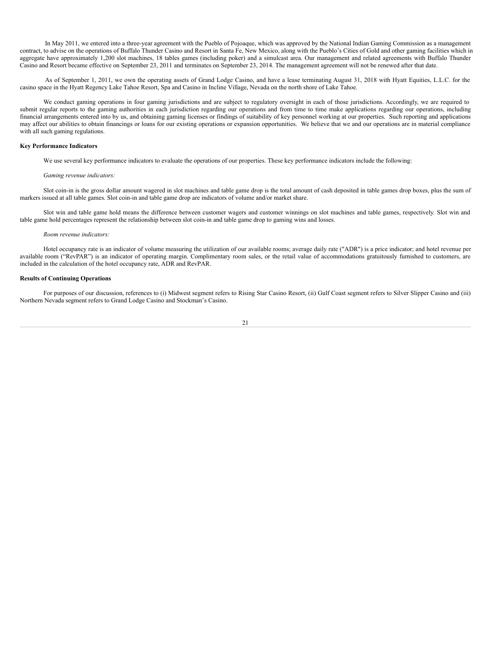In May 2011, we entered into a three-year agreement with the Pueblo of Pojoaque, which was approved by the National Indian Gaming Commission as a management contract, to advise on the operations of Buffalo Thunder Casino and Resort in Santa Fe, New Mexico, along with the Pueblo's Cities of Gold and other gaming facilities which in aggregate have approximately 1,200 slot machines, 18 tables games (including poker) and a simulcast area. Our management and related agreements with Buffalo Thunder Casino and Resort became effective on September 23, 2011 and terminates on September 23, 2014. The management agreement will not be renewed after that date.

As of September 1, 2011, we own the operating assets of Grand Lodge Casino, and have a lease terminating August 31, 2018 with Hyatt Equities, L.L.C. for the casino space in the Hyatt Regency Lake Tahoe Resort, Spa and Casino in Incline Village, Nevada on the north shore of Lake Tahoe.

We conduct gaming operations in four gaming jurisdictions and are subject to regulatory oversight in each of those jurisdictions. Accordingly, we are required to submit regular reports to the gaming authorities in each jurisdiction regarding our operations and from time to time make applications regarding our operations, including financial arrangements entered into by us, and obtaining gaming licenses or findings of suitability of key personnel working at our properties. Such reporting and applications may affect our abilities to obtain financings or loans for our existing operations or expansion opportunities. We believe that we and our operations are in material compliance with all such gaming regulations.

#### **Key Performance Indicators**

We use several key performance indicators to evaluate the operations of our properties. These key performance indicators include the following:

#### *Gaming revenue indicators:*

Slot coin-in is the gross dollar amount wagered in slot machines and table game drop is the total amount of cash deposited in table games drop boxes, plus the sum of markers issued at all table games. Slot coin-in and table game drop are indicators of volume and/or market share.

Slot win and table game hold means the difference between customer wagers and customer winnings on slot machines and table games, respectively. Slot win and table game hold percentages represent the relationship between slot coin-in and table game drop to gaming wins and losses.

#### *Room revenue indicators:*

Hotel occupancy rate is an indicator of volume measuring the utilization of our available rooms; average daily rate ("ADR") is a price indicator; and hotel revenue per available room ("RevPAR") is an indicator of operating margin. Complimentary room sales, or the retail value of accommodations gratuitously furnished to customers, are included in the calculation of the hotel occupancy rate, ADR and RevPAR.

## **Results of Continuing Operations**

For purposes of our discussion, references to (i) Midwest segment refers to Rising Star Casino Resort, (ii) Gulf Coast segment refers to Silver Slipper Casino and (iii) Northern Nevada segment refers to Grand Lodge Casino and Stockman's Casino.

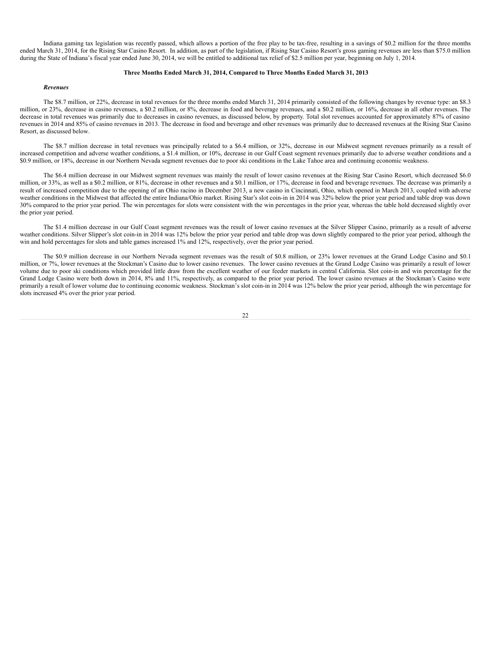Indiana gaming tax legislation was recently passed, which allows a portion of the free play to be tax-free, resulting in a savings of \$0.2 million for the three months ended March 31, 2014, for the Rising Star Casino Resort. In addition, as part of the legislation, if Rising Star Casino Resort's gross gaming revenues are less than \$75.0 million during the State of Indiana's fiscal year ended June 30, 2014, we will be entitled to additional tax relief of \$2.5 million per year, beginning on July 1, 2014.

## **Three Months Ended March 31, 2014, Compared to Three Months Ended March 31, 2013**

#### *Revenues*

The \$8.7 million, or 22%, decrease in total revenues for the three months ended March 31, 2014 primarily consisted of the following changes by revenue type: an \$8.3 million, or 23%, decrease in casino revenues, a \$0.2 million, or 8%, decrease in food and beverage revenues, and a \$0.2 million, or 16%, decrease in all other revenues. The decrease in total revenues was primarily due to decreases in casino revenues, as discussed below, by property. Total slot revenues accounted for approximately 87% of casino revenues in 2014 and 85% of casino revenues in 2013. The decrease in food and beverage and other revenues was primarily due to decreased revenues at the Rising Star Casino Resort, as discussed below.

The \$8.7 million decrease in total revenues was principally related to a \$6.4 million, or 32%, decrease in our Midwest segment revenues primarily as a result of increased competition and adverse weather conditions, a \$1.4 million, or 10%, decrease in our Gulf Coast segment revenues primarily due to adverse weather conditions and a \$0.9 million, or 18%, decrease in our Northern Nevada segment revenues due to poor ski conditions in the Lake Tahoe area and continuing economic weakness.

The \$6.4 million decrease in our Midwest segment revenues was mainly the result of lower casino revenues at the Rising Star Casino Resort, which decreased \$6.0 million, or 33%, as well as a \$0.2 million, or 81%, decrease in other revenues and a \$0.1 million, or 17%, decrease in food and beverage revenues. The decrease was primarily a result of increased competition due to the opening of an Ohio racino in December 2013, a new casino in Cincinnati, Ohio, which opened in March 2013, coupled with adverse weather conditions in the Midwest that affected the entire Indiana/Ohio market. Rising Star's slot coin-in in 2014 was 32% below the prior year period and table drop was down 30% compared to the prior year period. The win percentages for slots were consistent with the win percentages in the prior year, whereas the table hold decreased slightly over the prior year period.

The \$1.4 million decrease in our Gulf Coast segment revenues was the result of lower casino revenues at the Silver Slipper Casino, primarily as a result of adverse weather conditions. Silver Slipper's slot coin-in in 2014 was 12% below the prior year period and table drop was down slightly compared to the prior year period, although the win and hold percentages for slots and table games increased 1% and 12%, respectively, over the prior year period.

The \$0.9 million decrease in our Northern Nevada segment revenues was the result of \$0.8 million, or 23% lower revenues at the Grand Lodge Casino and \$0.1 million, or 7%, lower revenues at the Stockman's Casino due to lower casino revenues. The lower casino revenues at the Grand Lodge Casino was primarily a result of lower volume due to poor ski conditions which provided little draw from the excellent weather of our feeder markets in central California. Slot coin-in and win percentage for the Grand Lodge Casino were both down in 2014, 8% and 11%, respectively, as compared to the prior year period. The lower casino revenues at the Stockman's Casino were primarily a result of lower volume due to continuing economic weakness. Stockman's slot coin-in in 2014 was 12% below the prior year period, although the win percentage for slots increased 4% over the prior year period.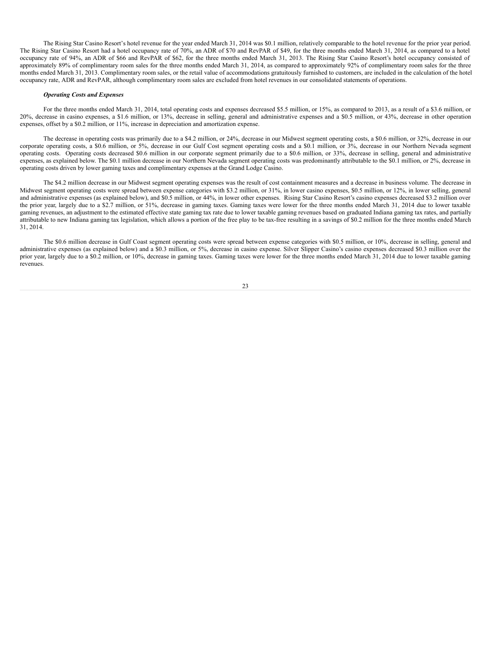The Rising Star Casino Resort's hotel revenue for the year ended March 31, 2014 was \$0.1 million, relatively comparable to the hotel revenue for the prior year period. The Rising Star Casino Resort had a hotel occupancy rate of 70%, an ADR of \$70 and RevPAR of \$49, for the three months ended March 31, 2014, as compared to a hotel occupancy rate of 94%, an ADR of \$66 and RevPAR of \$62, for the three months ended March 31, 2013. The Rising Star Casino Resort's hotel occupancy consisted of approximately 89% of complimentary room sales for the three months ended March 31, 2014, as compared to approximately 92% of complimentary room sales for the three months ended March 31, 2013. Complimentary room sales, or the retail value of accommodations gratuitously furnished to customers, are included in the calculation of the hotel occupancy rate, ADR and RevPAR, although complimentary room sales are excluded from hotel revenues in our consolidated statements of operations.

## *Operating Costs and Expenses*

For the three months ended March 31, 2014, total operating costs and expenses decreased \$5.5 million, or 15%, as compared to 2013, as a result of a \$3.6 million, or 20%, decrease in casino expenses, a \$1.6 million, or 13%, decrease in selling, general and administrative expenses and a \$0.5 million, or 43%, decrease in other operation expenses, offset by a \$0.2 million, or 11%, increase in depreciation and amortization expense.

The decrease in operating costs was primarily due to a \$4.2 million, or 24%, decrease in our Midwest segment operating costs, a \$0.6 million, or 32%, decrease in our corporate operating costs, a \$0.6 million, or 5%, decrease in our Gulf Cost segment operating costs and a \$0.1 million, or 3%, decrease in our Northern Nevada segment operating costs. Operating costs decreased \$0.6 million in our corporate segment primarily due to a \$0.6 million, or 33%, decrease in selling, general and administrative expenses, as explained below. The \$0.1 million decrease in our Northern Nevada segment operating costs was predominantly attributable to the \$0.1 million, or 2%, decrease in operating costs driven by lower gaming taxes and complimentary expenses at the Grand Lodge Casino.

The \$4.2 million decrease in our Midwest segment operating expenses was the result of cost containment measures and a decrease in business volume. The decrease in Midwest segment operating costs were spread between expense categories with \$3.2 million, or 31%, in lower casino expenses, \$0.5 million, or 12%, in lower selling, general and administrative expenses (as explained below), and \$0.5 million, or 44%, in lower other expenses. Rising Star Casino Resort's casino expenses decreased \$3.2 million over the prior year, largely due to a \$2.7 million, or 51%, decrease in gaming taxes. Gaming taxes were lower for the three months ended March 31, 2014 due to lower taxable gaming revenues, an adjustment to the estimated effective state gaming tax rate due to lower taxable gaming revenues based on graduated Indiana gaming tax rates, and partially attributable to new Indiana gaming tax legislation, which allows a portion of the free play to be tax-free resulting in a savings of \$0.2 million for the three months ended March 31, 2014.

The \$0.6 million decrease in Gulf Coast segment operating costs were spread between expense categories with \$0.5 million, or 10%, decrease in selling, general and administrative expenses (as explained below) and a \$0.3 million, or 5%, decrease in casino expense. Silver Slipper Casino's casino expenses decreased \$0.3 million over the prior year, largely due to a \$0.2 million, or 10%, decrease in gaming taxes. Gaming taxes were lower for the three months ended March 31, 2014 due to lower taxable gaming revenues.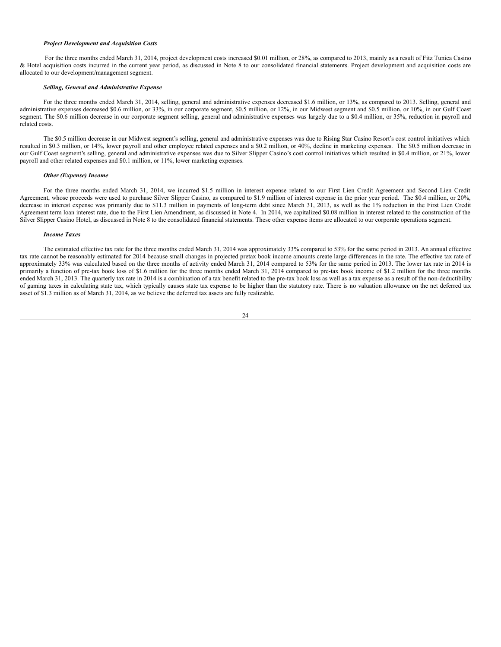#### *Project Development and Acquisition Costs*

For the three months ended March 31, 2014, project development costs increased \$0.01 million, or 28%, as compared to 2013, mainly as a result of Fitz Tunica Casino & Hotel acquisition costs incurred in the current year period, as discussed in Note 8 to our consolidated financial statements. Project development and acquisition costs are allocated to our development/management segment.

#### *Selling, General and Administrative Expense*

For the three months ended March 31, 2014, selling, general and administrative expenses decreased \$1.6 million, or 13%, as compared to 2013. Selling, general and administrative expenses decreased \$0.6 million, or 33%, in our corporate segment, \$0.5 million, or 12%, in our Midwest segment and \$0.5 million, or 10%, in our Gulf Coast segment. The \$0.6 million decrease in our corporate segment selling, general and administrative expenses was largely due to a \$0.4 million, or 35%, reduction in payroll and related costs.

The \$0.5 million decrease in our Midwest segment's selling, general and administrative expenses was due to Rising Star Casino Resort's cost control initiatives which resulted in \$0.3 million, or 14%, lower payroll and other employee related expenses and a \$0.2 million, or 40%, decline in marketing expenses. The \$0.5 million decrease in our Gulf Coast segment's selling, general and administrative expenses was due to Silver Slipper Casino's cost control initiatives which resulted in \$0.4 million, or 21%, lower payroll and other related expenses and \$0.1 million, or 11%, lower marketing expenses.

#### *Other (Expense) Income*

For the three months ended March 31, 2014, we incurred \$1.5 million in interest expense related to our First Lien Credit Agreement and Second Lien Credit Agreement, whose proceeds were used to purchase Silver Slipper Casino, as compared to \$1.9 million of interest expense in the prior year period. The \$0.4 million, or 20%, decrease in interest expense was primarily due to \$11.3 million in payments of long-term debt since March 31, 2013, as well as the 1% reduction in the First Lien Credit Agreement term loan interest rate, due to the First Lien Amendment, as discussed in Note 4. In 2014, we capitalized \$0.08 million in interest related to the construction of the Silver Slipper Casino Hotel, as discussed in Note 8 to the consolidated financial statements. These other expense items are allocated to our corporate operations segment.

#### *Income Taxes*

The estimated effective tax rate for the three months ended March 31, 2014 was approximately 33% compared to 53% for the same period in 2013. An annual effective tax rate cannot be reasonably estimated for 2014 because small changes in projected pretax book income amounts create large differences in the rate. The effective tax rate of approximately 33% was calculated based on the three months of activity ended March 31, 2014 compared to 53% for the same period in 2013. The lower tax rate in 2014 is primarily a function of pre-tax book loss of \$1.6 million for the three months ended March 31, 2014 compared to pre-tax book income of \$1.2 million for the three months ended March 31, 2013. The quarterly tax rate in 2014 is a combination of a tax benefit related to the pre-tax book loss as well as a tax expense as a result of the non-deductibility of gaming taxes in calculating state tax, which typically causes state tax expense to be higher than the statutory rate. There is no valuation allowance on the net deferred tax asset of \$1.3 million as of March 31, 2014, as we believe the deferred tax assets are fully realizable.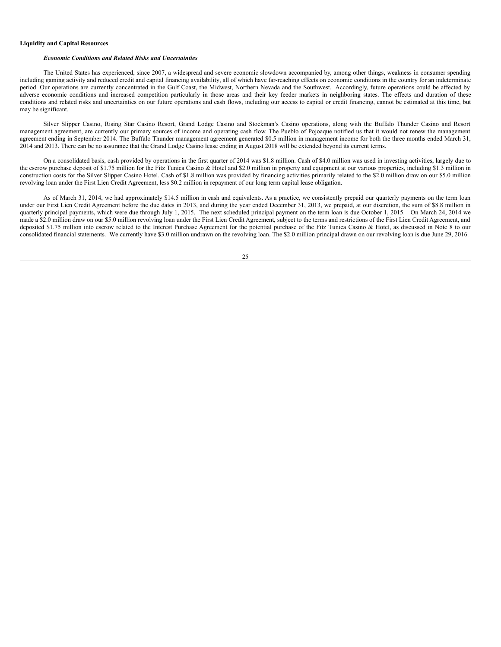## **Liquidity and Capital Resources**

#### *Economic Conditions and Related Risks and Uncertainties*

The United States has experienced, since 2007, a widespread and severe economic slowdown accompanied by, among other things, weakness in consumer spending including gaming activity and reduced credit and capital financing availability, all of which have far-reaching effects on economic conditions in the country for an indeterminate period. Our operations are currently concentrated in the Gulf Coast, the Midwest, Northern Nevada and the Southwest. Accordingly, future operations could be affected by adverse economic conditions and increased competition particularly in those areas and their key feeder markets in neighboring states. The effects and duration of these conditions and related risks and uncertainties on our future operations and cash flows, including our access to capital or credit financing, cannot be estimated at this time, but may be significant.

Silver Slipper Casino, Rising Star Casino Resort, Grand Lodge Casino and Stockman's Casino operations, along with the Buffalo Thunder Casino and Resort management agreement, are currently our primary sources of income and operating cash flow. The Pueblo of Pojoaque notified us that it would not renew the management agreement ending in September 2014. The Buffalo Thunder management agreement generated \$0.5 million in management income for both the three months ended March 31, 2014 and 2013. There can be no assurance that the Grand Lodge Casino lease ending in August 2018 will be extended beyond its current terms.

On a consolidated basis, cash provided by operations in the first quarter of 2014 was \$1.8 million. Cash of \$4.0 million was used in investing activities, largely due to the escrow purchase deposit of \$1.75 million for the Fitz Tunica Casino & Hotel and \$2.0 million in property and equipment at our various properties, including \$1.3 million in construction costs for the Silver Slipper Casino Hotel. Cash of \$1.8 million was provided by financing activities primarily related to the \$2.0 million draw on our \$5.0 million revolving loan under the First Lien Credit Agreement, less \$0.2 million in repayment of our long term capital lease obligation.

As of March 31, 2014, we had approximately \$14.5 million in cash and equivalents. As a practice, we consistently prepaid our quarterly payments on the term loan under our First Lien Credit Agreement before the due dates in 2013, and during the year ended December 31, 2013, we prepaid, at our discretion, the sum of \$8.8 million in quarterly principal payments, which were due through July 1, 2015. The next scheduled principal payment on the term loan is due October 1, 2015. On March 24, 2014 we made a \$2.0 million draw on our \$5.0 million revolving loan under the First Lien Credit Agreement, subject to the terms and restrictions of the First Lien Credit Agreement, and deposited \$1.75 million into escrow related to the Interest Purchase Agreement for the potential purchase of the Fitz Tunica Casino & Hotel, as discussed in Note 8 to our consolidated financial statements. We currently have \$3.0 million undrawn on the revolving loan. The \$2.0 million principal drawn on our revolving loan is due June 29, 2016.

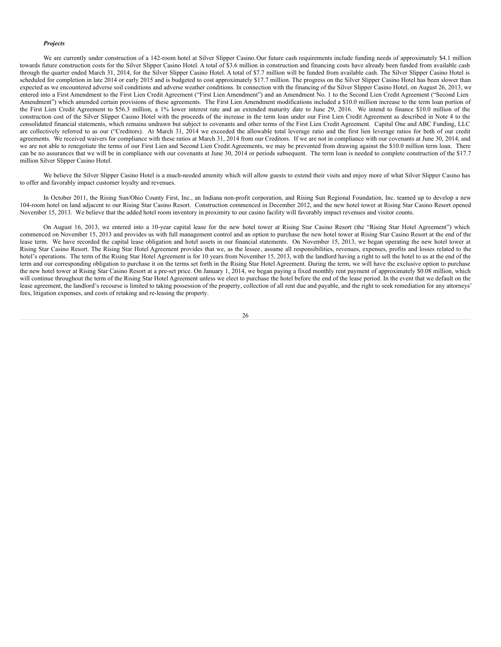#### *Projects*

We are currently under construction of a 142-room hotel at Silver Slipper Casino. Our future cash requirements include funding needs of approximately \$4.1 million towards future construction costs for the Silver Slipper Casino Hotel. A total of \$3.6 million in construction and financing costs have already been funded from available cash through the quarter ended March 31, 2014, for the Silver Slipper Casino Hotel. A total of \$7.7 million will be funded from available cash. The Silver Slipper Casino Hotel is scheduled for completion in late 2014 or early 2015 and is budgeted to cost approximately \$17.7 million. The progress on the Silver Slipper Casino Hotel has been slower than expected as we encountered adverse soil conditions and adverse weather conditions. In connection with the financing of the Silver Slipper Casino Hotel, on August 26, 2013, we entered into a First Amendment to the First Lien Credit Agreement ("First Lien Amendment") and an Amendment No. 1 to the Second Lien Credit Agreement ("Second Lien Amendment") which amended certain provisions of these agreements. The First Lien Amendment modifications included a \$10.0 million increase to the term loan portion of the First Lien Credit Agreement to \$56.3 million, a 1% lower interest rate and an extended maturity date to June 29, 2016. We intend to finance \$10.0 million of the construction cost of the Silver Slipper Casino Hotel with the proceeds of the increase in the term loan under our First Lien Credit Agreement as described in Note 4 to the consolidated financial statements, which remains undrawn but subject to covenants and other terms of the First Lien Credit Agreement. Capital One and ABC Funding, LLC are collectively referred to as our ("Creditors). At March 31, 2014 we exceeded the allowable total leverage ratio and the first lien leverage ratios for both of our credit agreements. We received waivers for compliance with these ratios at March 31, 2014 from our Creditors. If we are not in compliance with our covenants at June 30, 2014, and we are not able to renegotiate the terms of our First Lien and Second Lien Credit Agreements, we may be prevented from drawing against the \$10.0 million term loan. There can be no assurances that we will be in compliance with our covenants at June 30, 2014 or periods subsequent. The term loan is needed to complete construction of the \$17.7 million Silver Slipper Casino Hotel.

We believe the Silver Slipper Casino Hotel is a much-needed amenity which will allow guests to extend their visits and enjoy more of what Silver Slipper Casino has to offer and favorably impact customer loyalty and revenues.

In October 2011, the Rising Sun/Ohio County First, Inc., an Indiana non-profit corporation, and Rising Sun Regional Foundation, Inc. teamed up to develop a new 104-room hotel on land adjacent to our Rising Star Casino Resort. Construction commenced in December 2012, and the new hotel tower at Rising Star Casino Resort opened November 15, 2013. We believe that the added hotel room inventory in proximity to our casino facility will favorably impact revenues and visitor counts.

On August 16, 2013, we entered into a 10-year capital lease for the new hotel tower at Rising Star Casino Resort (the "Rising Star Hotel Agreement") which commenced on November 15, 2013 and provides us with full management control and an option to purchase the new hotel tower at Rising Star Casino Resort at the end of the lease term. We have recorded the capital lease obligation and hotel assets in our financial statements. On November 15, 2013, we began operating the new hotel tower at Rising Star Casino Resort. The Rising Star Hotel Agreement provides that we, as the lessee , assume all responsibilities, revenues, expenses, profits and losses related to the hotel's operations. The term of the Rising Star Hotel Agreement is for 10 years from November 15, 2013, with the landlord having a right to sell the hotel to us at the end of the term and our corresponding obligation to purchase it on the terms set forth in the Rising Star Hotel Agreement. During the term, we will have the exclusive option to purchase the new hotel tower at Rising Star Casino Resort at a pre-set price. On January 1, 2014, we began paying a fixed monthly rent payment of approximately \$0.08 million, which will continue throughout the term of the Rising Star Hotel Agreement unless we elect to purchase the hotel before the end of the lease period. In the event that we default on the lease agreement, the landlord's recourse is limited to taking possession of the property, collection of all rent due and payable, and the right to seek remediation for any attorneys' fees, litigation expenses, and costs of retaking and re-leasing the property.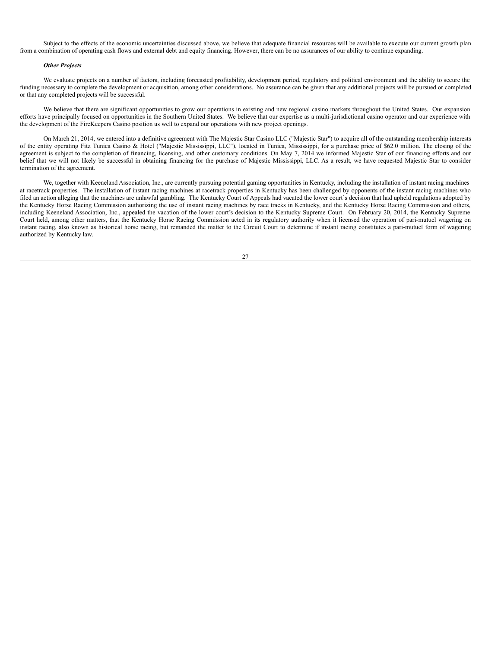Subject to the effects of the economic uncertainties discussed above, we believe that adequate financial resources will be available to execute our current growth plan from a combination of operating cash flows and external debt and equity financing. However, there can be no assurances of our ability to continue expanding.

#### *Other Projects*

We evaluate projects on a number of factors, including forecasted profitability, development period, regulatory and political environment and the ability to secure the funding necessary to complete the development or acquisition, among other considerations. No assurance can be given that any additional projects will be pursued or completed or that any completed projects will be successful.

We believe that there are significant opportunities to grow our operations in existing and new regional casino markets throughout the United States. Our expansion efforts have principally focused on opportunities in the Southern United States. We believe that our expertise as a multi-jurisdictional casino operator and our experience with the development of the FireKeepers Casino position us well to expand our operations with new project openings.

On March 21, 2014, we entered into a definitive agreement with The Majestic Star Casino LLC ("Majestic Star") to acquire all of the outstanding membership interests of the entity operating Fitz Tunica Casino & Hotel ("Majestic Mississippi, LLC"), located in Tunica, Mississippi, for a purchase price of \$62.0 million. The closing of the agreement is subject to the completion of financing, licensing, and other customary conditions. On May 7, 2014 we informed Majestic Star of our financing efforts and our belief that we will not likely be successful in obtaining financing for the purchase of Majestic Mississippi, LLC. As a result, we have requested Majestic Star to consider termination of the agreement.

We, together with Keeneland Association, Inc., are currently pursuing potential gaming opportunities in Kentucky, including the installation of instant racing machines at racetrack properties. The installation of instant racing machines at racetrack properties in Kentucky has been challenged by opponents of the instant racing machines who filed an action alleging that the machines are unlawful gambling. The Kentucky Court of Appeals had vacated the lower court's decision that had upheld regulations adopted by the Kentucky Horse Racing Commission authorizing the use of instant racing machines by race tracks in Kentucky, and the Kentucky Horse Racing Commission and others, including Keeneland Association, Inc., appealed the vacation of the lower court's decision to the Kentucky Supreme Court. On February 20, 2014, the Kentucky Supreme Court held, among other matters, that the Kentucky Horse Racing Commission acted in its regulatory authority when it licensed the operation of pari-mutuel wagering on instant racing, also known as historical horse racing, but remanded the matter to the Circuit Court to determine if instant racing constitutes a pari-mutuel form of wagering authorized by Kentucky law.

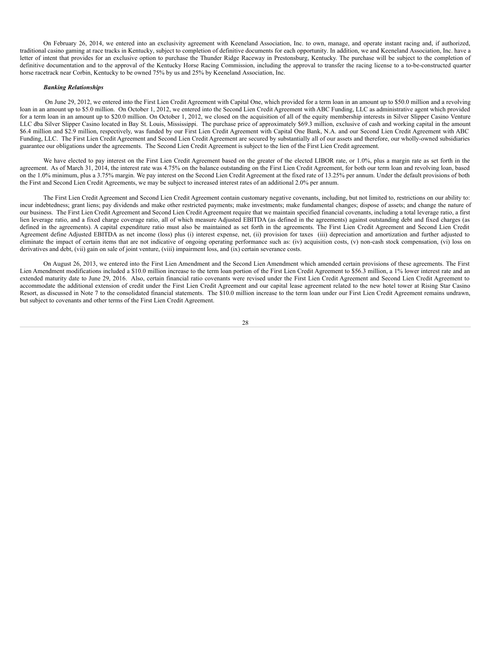On February 26, 2014, we entered into an exclusivity agreement with Keeneland Association, Inc. to own, manage, and operate instant racing and, if authorized, traditional casino gaming at race tracks in Kentucky, subject to completion of definitive documents for each opportunity. In addition, we and Keeneland Association, Inc. have a letter of intent that provides for an exclusive option to purchase the Thunder Ridge Raceway in Prestonsburg, Kentucky. The purchase will be subject to the completion of definitive documentation and to the approval of the Kentucky Horse Racing Commission, including the approval to transfer the racing license to a to-be-constructed quarter horse racetrack near Corbin, Kentucky to be owned 75% by us and 25% by Keeneland Association, Inc.

#### *Banking Relationships*

On June 29, 2012, we entered into the First Lien Credit Agreement with Capital One, which provided for a term loan in an amount up to \$50.0 million and a revolving loan in an amount up to \$5.0 million. On October 1, 2012, we entered into the Second Lien Credit Agreement with ABC Funding, LLC as administrative agent which provided for a term loan in an amount up to \$20.0 million. On October 1, 2012, we closed on the acquisition of all of the equity membership interests in Silver Slipper Casino Venture LLC dba Silver Slipper Casino located in Bay St. Louis, Mississippi. The purchase price of approximately \$69.3 million, exclusive of cash and working capital in the amount \$6.4 million and \$2.9 million, respectively, was funded by our First Lien Credit Agreement with Capital One Bank, N.A. and our Second Lien Credit Agreement with ABC Funding, LLC. The First Lien Credit Agreement and Second Lien Credit Agreement are secured by substantially all of our assets and therefore, our wholly-owned subsidiaries guarantee our obligations under the agreements. The Second Lien Credit Agreement is subject to the lien of the First Lien Credit agreement.

We have elected to pay interest on the First Lien Credit Agreement based on the greater of the elected LIBOR rate, or 1.0%, plus a margin rate as set forth in the agreement. As of March 31, 2014, the interest rate was 4.75% on the balance outstanding on the First Lien Credit Agreement, for both our term loan and revolving loan, based on the 1.0% minimum, plus a 3.75% margin. We pay interest on the Second Lien Credit Agreement at the fixed rate of 13.25% per annum. Under the default provisions of both the First and Second Lien Credit Agreements, we may be subject to increased interest rates of an additional 2.0% per annum.

The First Lien Credit Agreement and Second Lien Credit Agreement contain customary negative covenants, including, but not limited to, restrictions on our ability to: incur indebtedness; grant liens; pay dividends and make other restricted payments; make investments; make fundamental changes; dispose of assets; and change the nature of our business. The First Lien Credit Agreement and Second Lien Credit Agreement require that we maintain specified financial covenants, including a total leverage ratio, a first lien leverage ratio, and a fixed charge coverage ratio, all of which measure Adjusted EBITDA (as defined in the agreements) against outstanding debt and fixed charges (as defined in the agreements). A capital expenditure ratio must also be maintained as set forth in the agreements. The First Lien Credit Agreement and Second Lien Credit Agreement define Adjusted EBITDA as net income (loss) plus (i) interest expense, net, (ii) provision for taxes (iii) depreciation and amortization and further adjusted to eliminate the impact of certain items that are not indicative of ongoing operating performance such as: (iv) acquisition costs, (v) non-cash stock compensation, (vi) loss on derivatives and debt, (vii) gain on sale of joint venture, (viii) impairment loss, and (ix) certain severance costs.

On August 26, 2013, we entered into the First Lien Amendment and the Second Lien Amendment which amended certain provisions of these agreements. The First Lien Amendment modifications included a \$10.0 million increase to the term loan portion of the First Lien Credit Agreement to \$56.3 million, a 1% lower interest rate and an extended maturity date to June 29, 2016. Also, certain financial ratio covenants were revised under the First Lien Credit Agreement and Second Lien Credit Agreement to accommodate the additional extension of credit under the First Lien Credit Agreement and our capital lease agreement related to the new hotel tower at Rising Star Casino Resort, as discussed in Note 7 to the consolidated financial statements. The \$10.0 million increase to the term loan under our First Lien Credit Agreement remains undrawn, but subject to covenants and other terms of the First Lien Credit Agreement.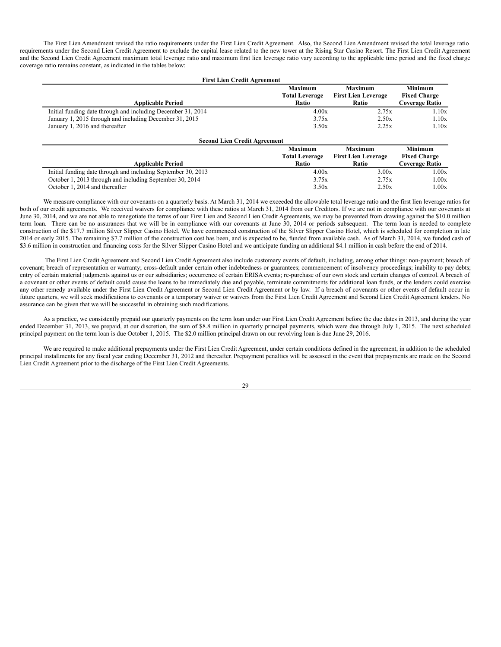The First Lien Amendment revised the ratio requirements under the First Lien Credit Agreement. Also, the Second Lien Amendment revised the total leverage ratio requirements under the Second Lien Credit Agreement to exclude the capital lease related to the new tower at the Rising Star Casino Resort. The First Lien Credit Agreement and the Second Lien Credit Agreement maximum total leverage ratio and maximum first lien leverage ratio vary according to the applicable time period and the fixed charge coverage ratio remains constant, as indicated in the tables below:

| <b>First Lien Credit Agreement</b>                           |                                         |                                              |                                       |  |
|--------------------------------------------------------------|-----------------------------------------|----------------------------------------------|---------------------------------------|--|
|                                                              | <b>Maximum</b><br><b>Total Leverage</b> | <b>Maximum</b><br><b>First Lien Leverage</b> | <b>Minimum</b><br><b>Fixed Charge</b> |  |
| <b>Applicable Period</b>                                     | Ratio                                   | Ratio                                        | <b>Coverage Ratio</b>                 |  |
| Initial funding date through and including December 31, 2014 | 4.00x                                   | 2.75x                                        | 1.10x                                 |  |
| January 1, 2015 through and including December 31, 2015      | 3.75x                                   | 2.50x                                        | 1.10x                                 |  |
| January 1, 2016 and thereafter                               | 3.50x                                   | 2.25x                                        | 1.10x                                 |  |
|                                                              |                                         |                                              |                                       |  |

| <b>Second Lien Credit Agreement</b>                           |                       |                            |                     |  |
|---------------------------------------------------------------|-----------------------|----------------------------|---------------------|--|
|                                                               | <b>Maximum</b>        | <b>Maximum</b>             | <b>Minimum</b>      |  |
|                                                               | <b>Total Leverage</b> | <b>First Lien Leverage</b> | <b>Fixed Charge</b> |  |
| <b>Applicable Period</b>                                      | Ratio                 | <b>Ratio</b>               | Coverage Ratio      |  |
| Initial funding date through and including September 30, 2013 | 4.00x                 | 3.00x                      | 1.00x               |  |
| October 1, 2013 through and including September 30, 2014      | 3.75x                 | 2.75x                      | 1.00x               |  |
| October 1, 2014 and thereafter                                | 3.50x                 | 2.50x                      | 1.00x               |  |

We measure compliance with our covenants on a quarterly basis. At March 31, 2014 we exceeded the allowable total leverage ratio and the first lien leverage ratios for both of our credit agreements. We received waivers for compliance with these ratios at March 31, 2014 from our Creditors. If we are not in compliance with our covenants at June 30, 2014, and we are not able to renegotiate the terms of our First Lien and Second Lien Credit Agreements, we may be prevented from drawing against the \$10.0 million term loan. There can be no assurances that we will be in compliance with our covenants at June 30, 2014 or periods subsequent. The term loan is needed to complete construction of the \$17.7 million Silver Slipper Casino Hotel. We have commenced construction of the Silver Slipper Casino Hotel, which is scheduled for completion in late 2014 or early 2015. The remaining \$7.7 million of the construction cost has been, and is expected to be, funded from available cash. As of March 31, 2014, we funded cash of \$3.6 million in construction and financing costs for the Silver Slipper Casino Hotel and we anticipate funding an additional \$4.1 million in cash before the end of 2014.

The First Lien Credit Agreement and Second Lien Credit Agreement also include customary events of default, including, among other things: non-payment; breach of covenant; breach of representation or warranty; cross-default under certain other indebtedness or guarantees; commencement of insolvency proceedings; inability to pay debts; entry of certain material judgments against us or our subsidiaries; occurrence of certain ERISA events; re-purchase of our own stock and certain changes of control. A breach of a covenant or other events of default could cause the loans to be immediately due and payable, terminate commitments for additional loan funds, or the lenders could exercise any other remedy available under the First Lien Credit Agreement or Second Lien Credit Agreement or by law. If a breach of covenants or other events of default occur in future quarters, we will seek modifications to covenants or a temporary waiver or waivers from the First Lien Credit Agreement and Second Lien Credit Agreement lenders. No assurance can be given that we will be successful in obtaining such modifications.

As a practice, we consistently prepaid our quarterly payments on the term loan under our First Lien Credit Agreement before the due dates in 2013, and during the year ended December 31, 2013, we prepaid, at our discretion, the sum of \$8.8 million in quarterly principal payments, which were due through July 1, 2015. The next scheduled principal payment on the term loan is due October 1, 2015. The \$2.0 million principal drawn on our revolving loan is due June 29, 2016.

We are required to make additional prepayments under the First Lien Credit Agreement, under certain conditions defined in the agreement, in addition to the scheduled principal installments for any fiscal year ending December 31, 2012 and thereafter. Prepayment penalties will be assessed in the event that prepayments are made on the Second Lien Credit Agreement prior to the discharge of the First Lien Credit Agreements.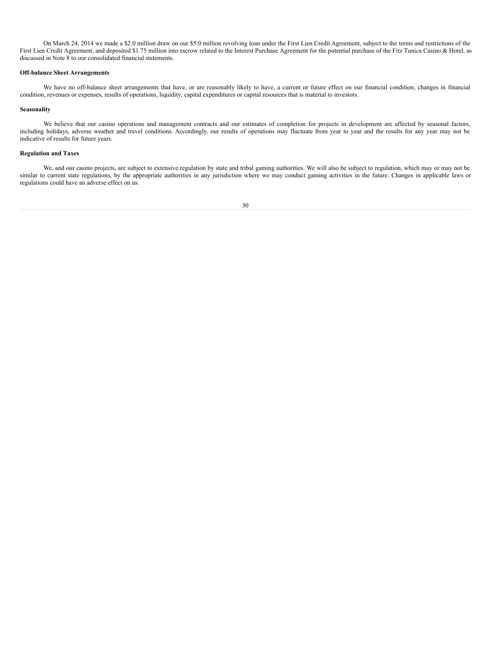On March 24, 2014 we made a \$2.0 million draw on our \$5.0 million revolving loan under the First Lien Credit Agreement, subject to the terms and restrictions of the First Lien Credit Agreement, and deposited \$1.75 million into escrow related to the Interest Purchase Agreement for the potential purchase of the Fitz Tunica Casino & Hotel, as discussed in Note 8 to our consolidated financial statements.

## **Off-balance Sheet Arrangements**

We have no off-balance sheet arrangements that have, or are reasonably likely to have, a current or future effect on our financial condition, changes in financial condition, revenues or expenses, results of operations, liquidity, capital expenditures or capital resources that is material to investors.

## **Seasonality**

We believe that our casino operations and management contracts and our estimates of completion for projects in development are affected by seasonal factors, including holidays, adverse weather and travel conditions. Accordingly, our results of operations may fluctuate from year to year and the results for any year may not be indicative of results for future years.

## **Regulation and Taxes**

We, and our casino projects, are subject to extensive regulation by state and tribal gaming authorities. We will also be subject to regulation, which may or may not be similar to current state regulations, by the appropriate authorities in any jurisdiction where we may conduct gaming activities in the future. Changes in applicable laws or regulations could have an adverse effect on us.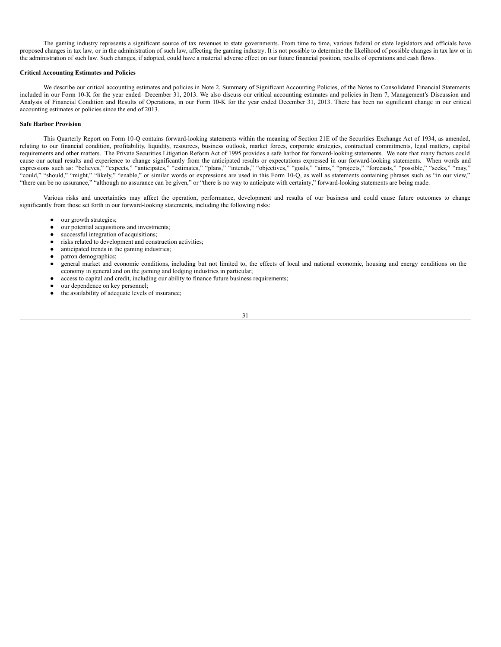The gaming industry represents a significant source of tax revenues to state governments. From time to time, various federal or state legislators and officials have proposed changes in tax law, or in the administration of such law, affecting the gaming industry. It is not possible to determine the likelihood of possible changes in tax law or in the administration of such law. Such changes, if adopted, could have a material adverse effect on our future financial position, results of operations and cash flows.

#### **Critical Accounting Estimates and Policies**

We describe our critical accounting estimates and policies in Note 2, Summary of Significant Accounting Policies, of the Notes to Consolidated Financial Statements included in our Form 10-K for the year ended December 31, 2013. We also discuss our critical accounting estimates and policies in Item 7, Management's Discussion and Analysis of Financial Condition and Results of Operations, in our Form 10-K for the year ended December 31, 2013. There has been no significant change in our critical accounting estimates or policies since the end of 2013.

## **Safe Harbor Provision**

This Quarterly Report on Form 10-Q contains forward-looking statements within the meaning of Section 21E of the Securities Exchange Act of 1934, as amended, relating to our financial condition, profitability, liquidity, resources, business outlook, market forces, corporate strategies, contractual commitments, legal matters, capital requirements and other matters. The Private Securities Litigation Reform Act of 1995 provides a safe harbor for forward-looking statements. We note that many factors could cause our actual results and experience to change significantly from the anticipated results or expectations expressed in our forward-looking statements. When words and expressions such as: "believes," "expects," "anticipates," "estimates," "plans," "intends," "objectives," "goals," "aims," "projects," "forecasts," "possible," "seeks," "may," "could," "should," "might," "likely," "enable," or similar words or expressions are used in this Form 10-Q, as well as statements containing phrases such as "in our view," "there can be no assurance," "although no assurance can be given," or "there is no way to anticipate with certainty," forward-looking statements are being made.

Various risks and uncertainties may affect the operation, performance, development and results of our business and could cause future outcomes to change significantly from those set forth in our forward-looking statements, including the following risks:

- our growth strategies;
- our potential acquisitions and investments;
- successful integration of acquisitions;<br>• risks related to development and const
- risks related to development and construction activities;
- anticipated trends in the gaming industries;
- patron demographics;
- general market and economic conditions, including but not limited to, the effects of local and national economic, housing and energy conditions on the economy in general and on the gaming and lodging industries in particular;
- access to capital and credit, including our ability to finance future business requirements;
- our dependence on key personnel;
- the availability of adequate levels of insurance;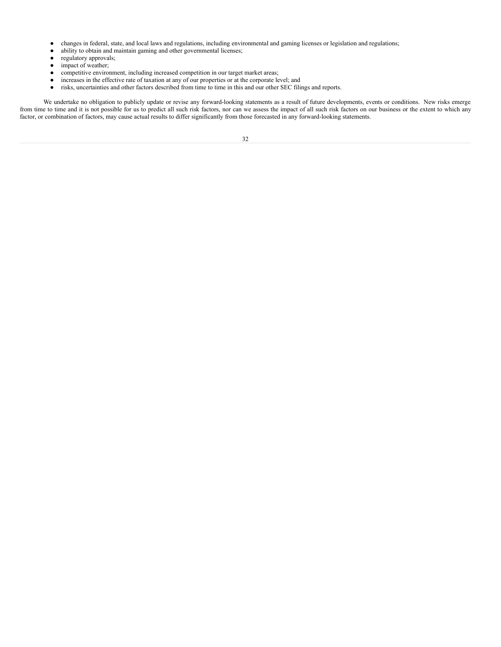- changes in federal, state, and local laws and regulations, including environmental and gaming licenses or legislation and regulations;
- ability to obtain and maintain gaming and other governmental licenses;<br>• regulatory approvals;
- regulatory approvals;<br>• impact of weather:
- impact of weather;
- competitive environment, including increased competition in our target market areas;<br>• increases in the effective rate of taxation at any of our properties or at the corporate le
- increases in the effective rate of taxation at any of our properties or at the corporate level; and
- risks, uncertainties and other factors described from time to time in this and our other SEC filings and reports.

We undertake no obligation to publicly update or revise any forward-looking statements as a result of future developments, events or conditions. New risks emerge from time to time and it is not possible for us to predict all such risk factors, nor can we assess the impact of all such risk factors on our business or the extent to which any factor, or combination of factors, may cause actual results to differ significantly from those forecasted in any forward-looking statements.

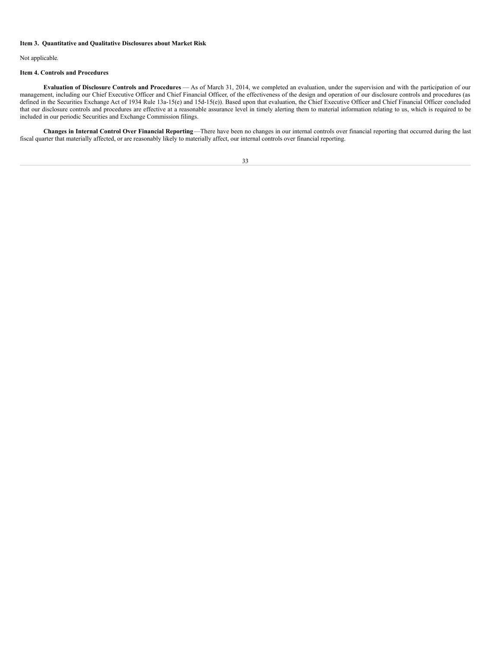## **Item 3. Quantitative and Qualitative Disclosures about Market Risk**

Not applicable.

## **Item 4. Controls and Procedures**

**Evaluation of Disclosure Controls and Procedures** — As of March 31, 2014, we completed an evaluation, under the supervision and with the participation of our management, including our Chief Executive Officer and Chief Financial Officer, of the effectiveness of the design and operation of our disclosure controls and procedures (as defined in the Securities Exchange Act of 1934 Rule 13a-15(e) and 15d-15(e)). Based upon that evaluation, the Chief Executive Officer and Chief Financial Officer concluded that our disclosure controls and procedures are effective at a reasonable assurance level in timely alerting them to material information relating to us, which is required to be included in our periodic Securities and Exchange Commission filings.

**Changes in Internal Control Over Financial Reporting**—There have been no changes in our internal controls over financial reporting that occurred during the last fiscal quarter that materially affected, or are reasonably likely to materially affect, our internal controls over financial reporting.

| I<br>I<br>$\sim$ | I<br>I<br>$\sim$ |
|------------------|------------------|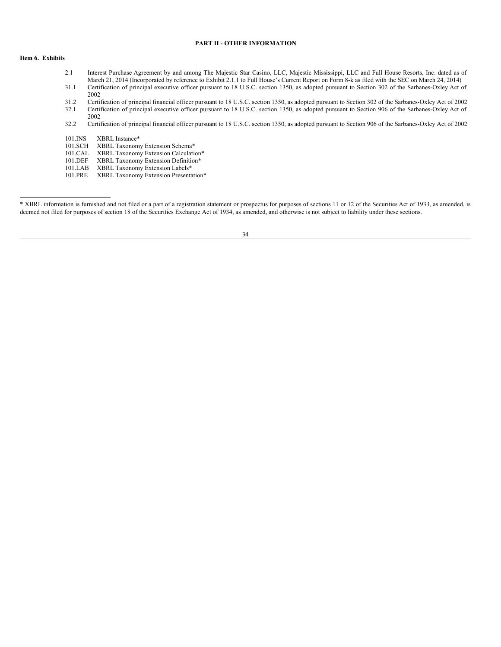## **PART II - OTHER INFORMATION**

## **Item 6. Exhibits**

- 2.1 Interest Purchase Agreement by and among The Majestic Star Casino, LLC, Majestic Mississippi, LLC and Full House Resorts, Inc. dated as of March 21, 2014 (Incorporated by reference to Exhibit 2.1.1 to Full House's Current Report on Form 8-k as filed with the SEC on March 24, 2014) 31.1 Certification of principal executive officer pursuant to 18 U.S.C. section 1350, as adopted pursuant to Section 302 of the Sarbanes-Oxley Act of
- 2002
- 31.2 Certification of principal financial officer pursuant to 18 U.S.C. section 1350, as adopted pursuant to Section 302 of the Sarbanes-Oxley Act of 2002 32.1 Certification of principal executive officer pursuant to 18 U.S.C. section 1350, as adopted pursuant to Section 906 of the Sarbanes-Oxley Act of 2002
- 32.2 Certification of principal financial officer pursuant to 18 U.S.C. section 1350, as adopted pursuant to Section 906 of the Sarbanes-Oxley Act of 2002

101.INS XBRL Instance\*

101.SCH XBRL Taxonomy Extension Schema\*<br>101.CAL XBRL Taxonomy Extension Calculation

101.CAL XBRL Taxonomy Extension Calculation\*<br>101.DEF XBRL Taxonomy Extension Definition\*

- 101.DEF XBRL Taxonomy Extension Definition\*<br>101.LAB XBRL Taxonomy Extension Labels\*
- 101.LAB XBRL Taxonomy Extension Labels\*<br>101.PRE XBRL Taxonomy Extension Presenta
- XBRL Taxonomy Extension Presentation\*

<sup>\*</sup> XBRL information is furnished and not filed or a part of a registration statement or prospectus for purposes of sections 11 or 12 of the Securities Act of 1933, as amended, is deemed not filed for purposes of section 18 of the Securities Exchange Act of 1934, as amended, and otherwise is not subject to liability under these sections.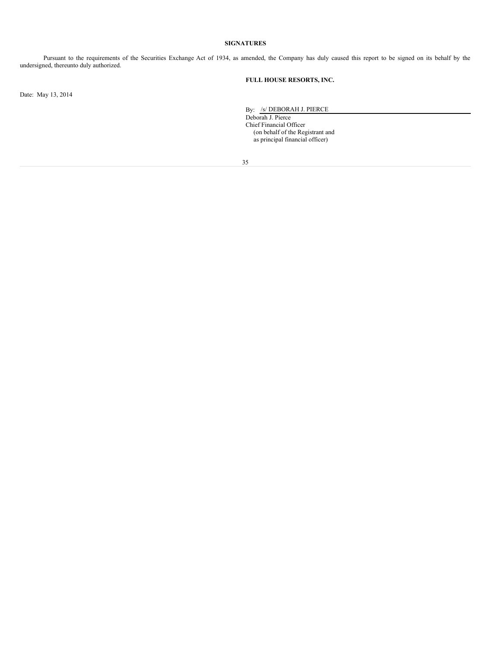## **SIGNATURES**

Pursuant to the requirements of the Securities Exchange Act of 1934, as amended, the Company has duly caused this report to be signed on its behalf by the undersigned, thereunto duly authorized.

## **FULL HOUSE RESORTS, INC.**

Date: May 13, 2014

By: /s/ DEBORAH J. PIERCE

Deborah J. Pierce Chief Financial Officer (on behalf of the Registrant and as principal financial officer)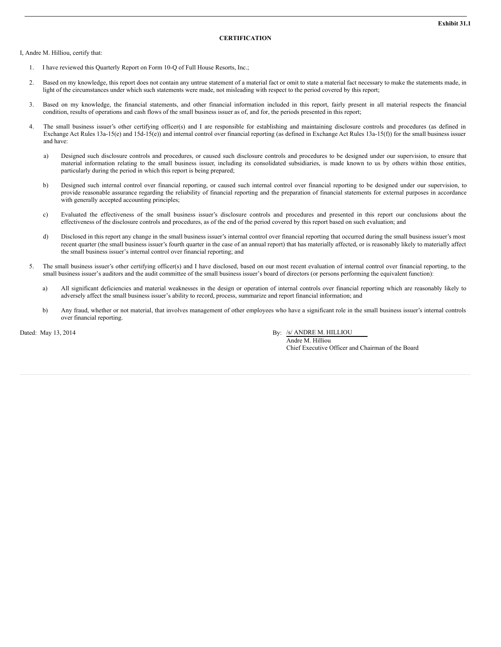#### **CERTIFICATION**

I, Andre M. Hilliou, certify that:

- 1. I have reviewed this Quarterly Report on Form 10-Q of Full House Resorts, Inc.;
- 2. Based on my knowledge, this report does not contain any untrue statement of a material fact or omit to state a material fact necessary to make the statements made, in light of the circumstances under which such statements were made, not misleading with respect to the period covered by this report;
- 3. Based on my knowledge, the financial statements, and other financial information included in this report, fairly present in all material respects the financial condition, results of operations and cash flows of the small business issuer as of, and for, the periods presented in this report;
- 4. The small business issuer's other certifying officer(s) and I are responsible for establishing and maintaining disclosure controls and procedures (as defined in Exchange Act Rules 13a-15(e) and 15d-15(e)) and internal control over financial reporting (as defined in Exchange Act Rules 13a-15(f)) for the small business issuer and have:
	- a) Designed such disclosure controls and procedures, or caused such disclosure controls and procedures to be designed under our supervision, to ensure that material information relating to the small business issuer, including its consolidated subsidiaries, is made known to us by others within those entities, particularly during the period in which this report is being prepared;
	- b) Designed such internal control over financial reporting, or caused such internal control over financial reporting to be designed under our supervision, to provide reasonable assurance regarding the reliability of financial reporting and the preparation of financial statements for external purposes in accordance with generally accepted accounting principles;
	- c) Evaluated the effectiveness of the small business issuer's disclosure controls and procedures and presented in this report our conclusions about the effectiveness of the disclosure controls and procedures, as of the end of the period covered by this report based on such evaluation; and
	- d) Disclosed in this report any change in the small business issuer's internal control over financial reporting that occurred during the small business issuer's most recent quarter (the small business issuer's fourth quarter in the case of an annual report) that has materially affected, or is reasonably likely to materially affect the small business issuer's internal control over financial reporting; and
- 5. The small business issuer's other certifying officer(s) and I have disclosed, based on our most recent evaluation of internal control over financial reporting, to the small business issuer's auditors and the audit committee of the small business issuer's board of directors (or persons performing the equivalent function):
	- a) All significant deficiencies and material weaknesses in the design or operation of internal controls over financial reporting which are reasonably likely to adversely affect the small business issuer's ability to record, process, summarize and report financial information; and
	- b) Any fraud, whether or not material, that involves management of other employees who have a significant role in the small business issuer's internal controls over financial reporting.

Dated: May 13, 2014 By: /s/ ANDRE M. HILLIOU

Andre M. Hilliou Chief Executive Officer and Chairman of the Board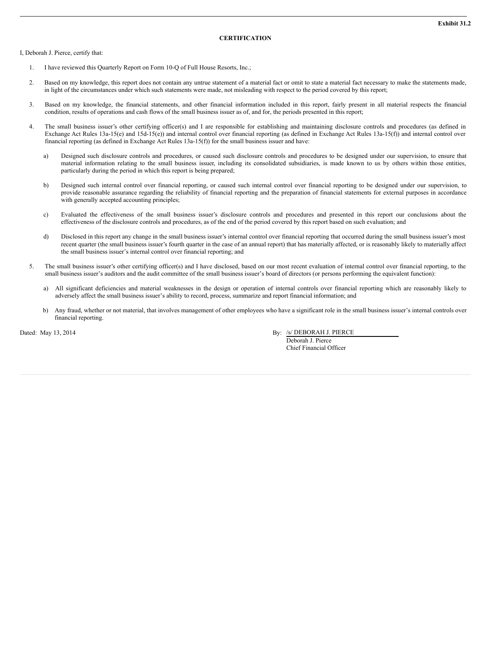#### **CERTIFICATION**

I, Deborah J. Pierce, certify that:

- 1. I have reviewed this Quarterly Report on Form 10-Q of Full House Resorts, Inc.;
- 2. Based on my knowledge, this report does not contain any untrue statement of a material fact or omit to state a material fact necessary to make the statements made, in light of the circumstances under which such statements were made, not misleading with respect to the period covered by this report;
- 3. Based on my knowledge, the financial statements, and other financial information included in this report, fairly present in all material respects the financial condition, results of operations and cash flows of the small business issuer as of, and for, the periods presented in this report;
- 4. The small business issuer's other certifying officer(s) and I are responsible for establishing and maintaining disclosure controls and procedures (as defined in Exchange Act Rules 13a-15(e) and 15d-15(e)) and internal control over financial reporting (as defined in Exchange Act Rules 13a-15(f)) and internal control over financial reporting (as defined in Exchange Act Rules 13a-15(f)) for the small business issuer and have:
	- a) Designed such disclosure controls and procedures, or caused such disclosure controls and procedures to be designed under our supervision, to ensure that material information relating to the small business issuer, including its consolidated subsidiaries, is made known to us by others within those entities, particularly during the period in which this report is being prepared;
	- b) Designed such internal control over financial reporting, or caused such internal control over financial reporting to be designed under our supervision, to provide reasonable assurance regarding the reliability of financial reporting and the preparation of financial statements for external purposes in accordance with generally accepted accounting principles;
	- c) Evaluated the effectiveness of the small business issuer's disclosure controls and procedures and presented in this report our conclusions about the effectiveness of the disclosure controls and procedures, as of the end of the period covered by this report based on such evaluation; and
	- d) Disclosed in this report any change in the small business issuer's internal control over financial reporting that occurred during the small business issuer's most recent quarter (the small business issuer's fourth quarter in the case of an annual report) that has materially affected, or is reasonably likely to materially affect the small business issuer's internal control over financial reporting; and
- 5. The small business issuer's other certifying officer(s) and I have disclosed, based on our most recent evaluation of internal control over financial reporting, to the small business issuer's auditors and the audit committee of the small business issuer's board of directors (or persons performing the equivalent function):
	- a) All significant deficiencies and material weaknesses in the design or operation of internal controls over financial reporting which are reasonably likely to adversely affect the small business issuer's ability to record, process, summarize and report financial information; and
	- b) Any fraud, whether or not material, that involves management of other employees who have a significant role in the small business issuer's internal controls over financial reporting.

Dated: May 13, 2014 By: /s/ DEBORAH J. PIERCE

Deborah J. Pierce Chief Financial Officer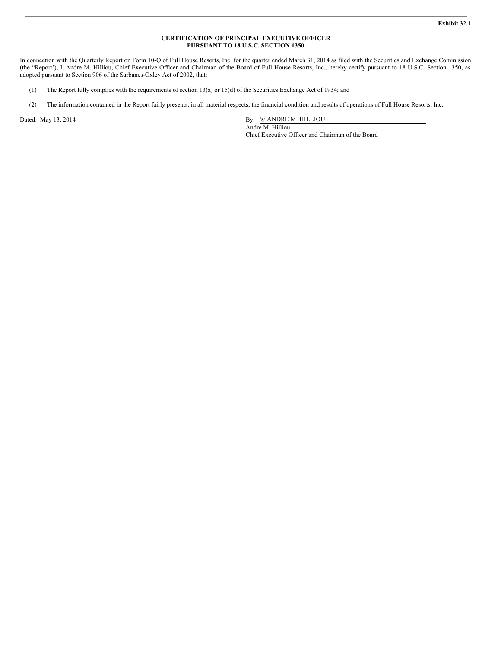## **CERTIFICATION OF PRINCIPAL EXECUTIVE OFFICER PURSUANT TO 18 U.S.C. SECTION 1350**

In connection with the Quarterly Report on Form 10-Q of Full House Resorts, Inc. for the quarter ended March 31, 2014 as filed with the Securities and Exchange Commission (the "Report'), I, Andre M. Hilliou, Chief Executive Officer and Chairman of the Board of Full House Resorts, Inc., hereby certify pursuant to 18 U.S.C. Section 1350, as adopted pursuant to Section 906 of the Sarbanes-Oxley Act of 2002, that:

- (1) The Report fully complies with the requirements of section 13(a) or 15(d) of the Securities Exchange Act of 1934; and
- (2) The information contained in the Report fairly presents, in all material respects, the financial condition and results of operations of Full House Resorts, Inc.

Dated: May 13, 2014 By: /s/ ANDRE M. HILLIOU Andre M. Hilliou Chief Executive Officer and Chairman of the Board